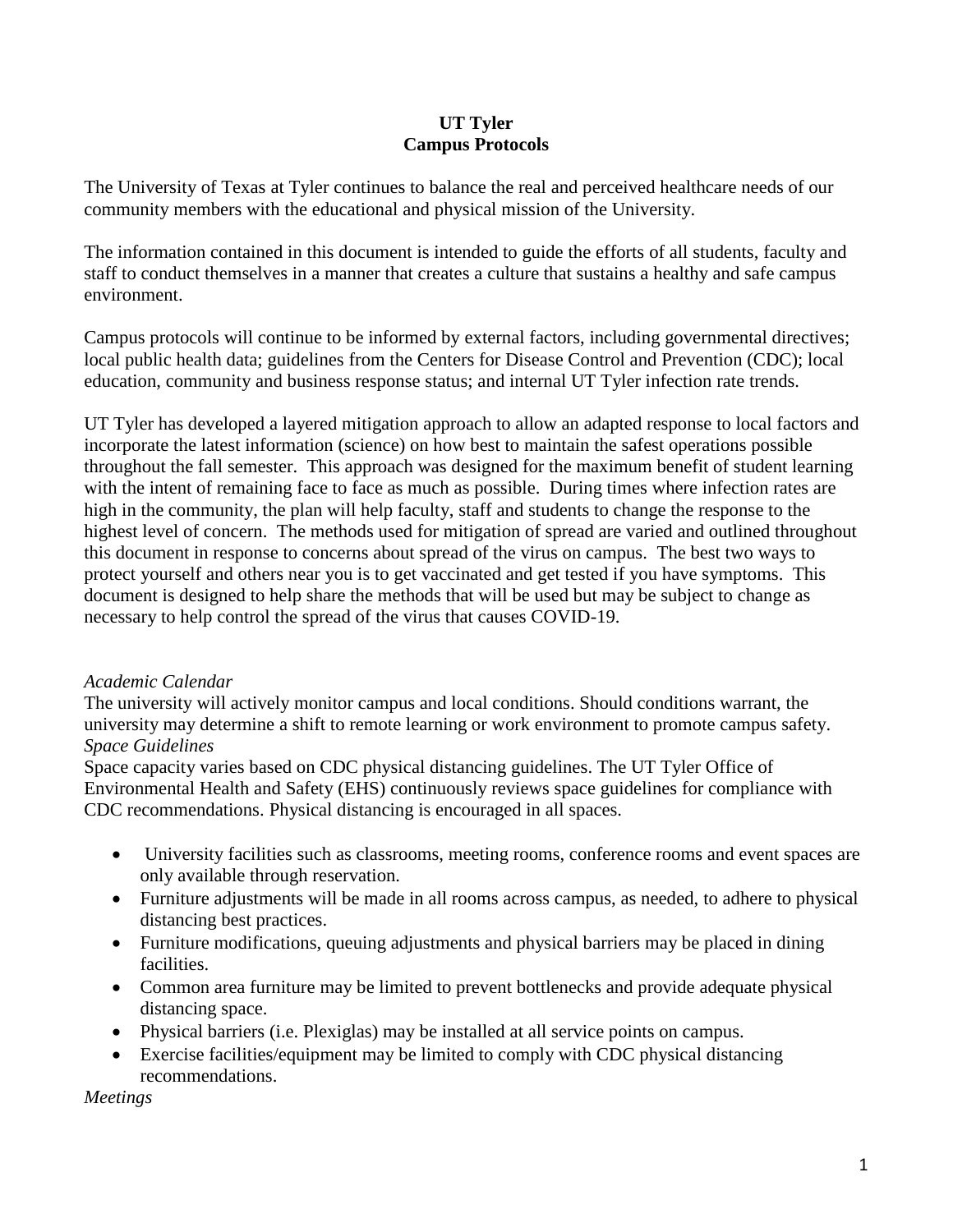#### **UT Tyler Campus Protocols**

The University of Texas at Tyler continues to balance the real and perceived healthcare needs of our community members with the educational and physical mission of the University.

The information contained in this document is intended to guide the efforts of all students, faculty and staff to conduct themselves in a manner that creates a culture that sustains a healthy and safe campus environment.

Campus protocols will continue to be informed by external factors, including governmental directives; local public health data; guidelines from the Centers for Disease Control and Prevention (CDC); local education, community and business response status; and internal UT Tyler infection rate trends.

UT Tyler has developed a layered mitigation approach to allow an adapted response to local factors and incorporate the latest information (science) on how best to maintain the safest operations possible throughout the fall semester. This approach was designed for the maximum benefit of student learning with the intent of remaining face to face as much as possible. During times where infection rates are high in the community, the plan will help faculty, staff and students to change the response to the highest level of concern. The methods used for mitigation of spread are varied and outlined throughout this document in response to concerns about spread of the virus on campus. The best two ways to protect yourself and others near you is to get vaccinated and get tested if you have symptoms. This document is designed to help share the methods that will be used but may be subject to change as necessary to help control the spread of the virus that causes COVID-19.

#### *Academic Calendar*

The university will actively monitor campus and local conditions. Should conditions warrant, the university may determine a shift to remote learning or work environment to promote campus safety. *Space Guidelines*

Space capacity varies based on CDC physical distancing guidelines. The UT Tyler Office of Environmental Health and Safety (EHS) continuously reviews space guidelines for compliance with CDC recommendations. Physical distancing is encouraged in all spaces.

- University facilities such as classrooms, meeting rooms, conference rooms and event spaces are only available through reservation.
- Furniture adjustments will be made in all rooms across campus, as needed, to adhere to physical distancing best practices.
- Furniture modifications, queuing adjustments and physical barriers may be placed in dining facilities.
- Common area furniture may be limited to prevent bottlenecks and provide adequate physical distancing space.
- Physical barriers (i.e. Plexiglas) may be installed at all service points on campus.
- Exercise facilities/equipment may be limited to comply with CDC physical distancing recommendations.

*Meetings*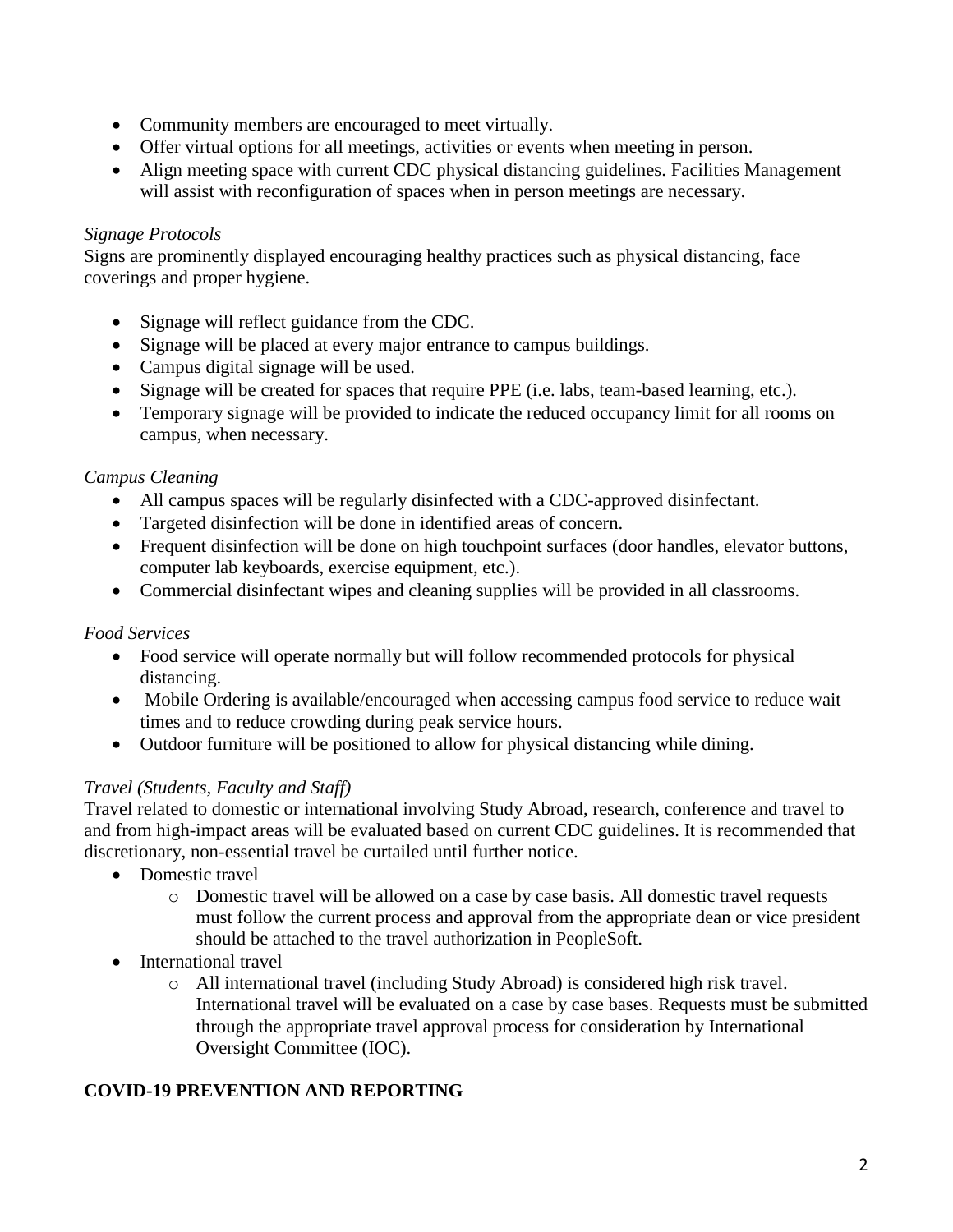- Community members are encouraged to meet virtually.
- Offer virtual options for all meetings, activities or events when meeting in person.
- Align meeting space with current CDC physical distancing guidelines. Facilities Management will assist with reconfiguration of spaces when in person meetings are necessary.

# *Signage Protocols*

Signs are prominently displayed encouraging healthy practices such as physical distancing, face coverings and proper hygiene.

- Signage will reflect guidance from the CDC.
- Signage will be placed at every major entrance to campus buildings.
- Campus digital signage will be used.
- Signage will be created for spaces that require PPE (i.e. labs, team-based learning, etc.).
- Temporary signage will be provided to indicate the reduced occupancy limit for all rooms on campus, when necessary.

# *Campus Cleaning*

- All campus spaces will be regularly disinfected with a CDC-approved disinfectant.
- Targeted disinfection will be done in identified areas of concern.
- Frequent disinfection will be done on high touchpoint surfaces (door handles, elevator buttons, computer lab keyboards, exercise equipment, etc.).
- Commercial disinfectant wipes and cleaning supplies will be provided in all classrooms.

# *Food Services*

- Food service will operate normally but will follow recommended protocols for physical distancing.
- Mobile Ordering is available/encouraged when accessing campus food service to reduce wait times and to reduce crowding during peak service hours.
- Outdoor furniture will be positioned to allow for physical distancing while dining.

# *Travel (Students, Faculty and Staff)*

Travel related to domestic or international involving Study Abroad, research, conference and travel to and from high-impact areas will be evaluated based on current CDC guidelines. It is recommended that discretionary, non-essential travel be curtailed until further notice.

- Domestic travel
	- o Domestic travel will be allowed on a case by case basis. All domestic travel requests must follow the current process and approval from the appropriate dean or vice president should be attached to the travel authorization in PeopleSoft.
- International travel
	- o All international travel (including Study Abroad) is considered high risk travel. International travel will be evaluated on a case by case bases. Requests must be submitted through the appropriate travel approval process for consideration by International Oversight Committee (IOC).

# **COVID-19 PREVENTION AND REPORTING**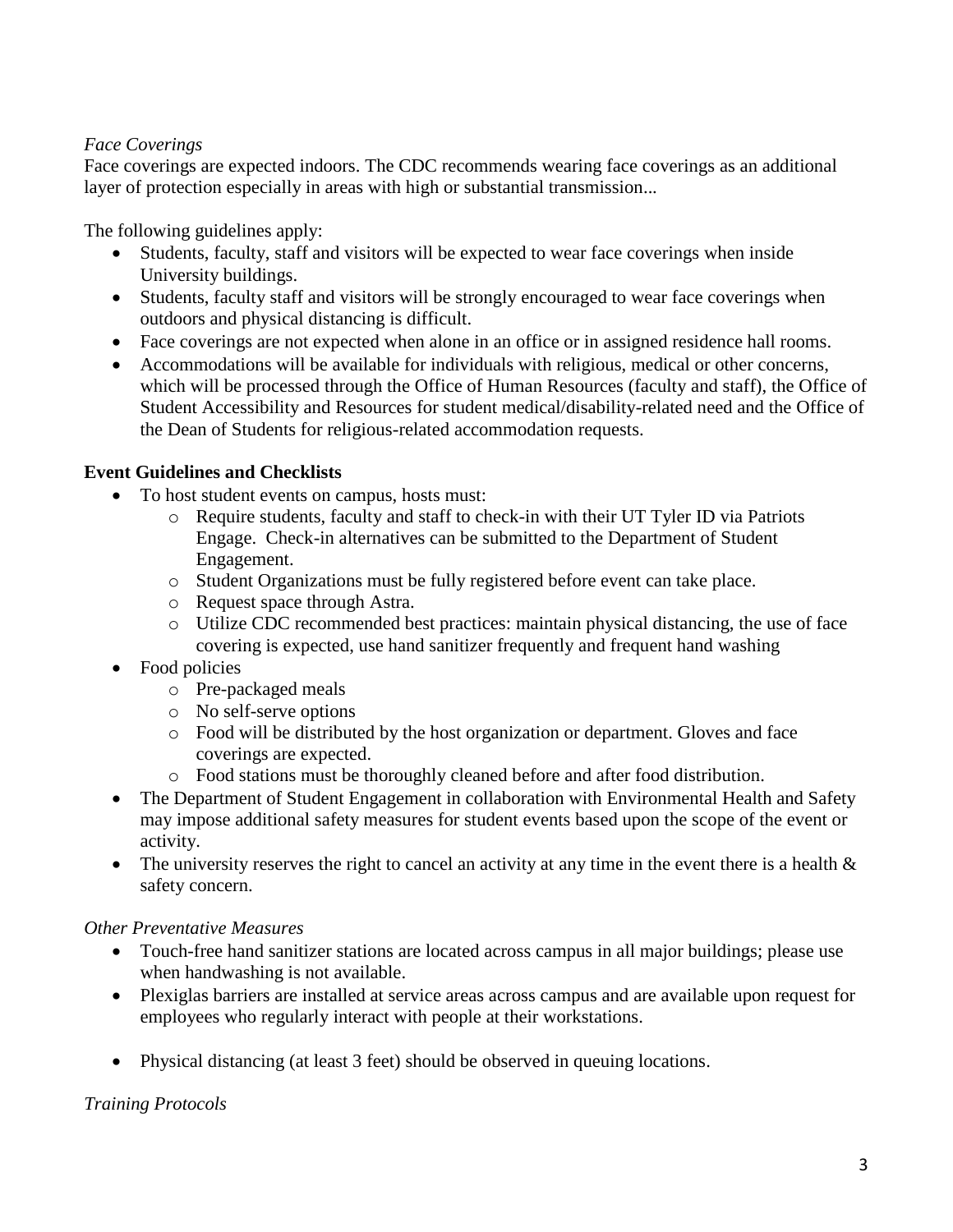## *Face Coverings*

Face coverings are expected indoors. The CDC recommends wearing face coverings as an additional layer of protection especially in areas with high or substantial transmission...

The following guidelines apply:

- Students, faculty, staff and visitors will be expected to wear face coverings when inside University buildings.
- Students, faculty staff and visitors will be strongly encouraged to wear face coverings when outdoors and physical distancing is difficult.
- Face coverings are not expected when alone in an office or in assigned residence hall rooms.
- Accommodations will be available for individuals with religious, medical or other concerns, which will be processed through the Office of Human Resources (faculty and staff), the Office of Student Accessibility and Resources for student medical/disability-related need and the Office of the Dean of Students for religious-related accommodation requests.

## **Event Guidelines and Checklists**

- To host student events on campus, hosts must:
	- o Require students, faculty and staff to check-in with their UT Tyler ID via Patriots Engage. Check-in alternatives can be submitted to the Department of Student Engagement.
	- o Student Organizations must be fully registered before event can take place.
	- o Request space through Astra.
	- o Utilize CDC recommended best practices: maintain physical distancing, the use of face covering is expected, use hand sanitizer frequently and frequent hand washing
- Food policies
	- o Pre-packaged meals
	- o No self-serve options
	- o Food will be distributed by the host organization or department. Gloves and face coverings are expected.
	- o Food stations must be thoroughly cleaned before and after food distribution.
- The Department of Student Engagement in collaboration with Environmental Health and Safety may impose additional safety measures for student events based upon the scope of the event or activity.
- The university reserves the right to cancel an activity at any time in the event there is a health  $\&$ safety concern.

#### *Other Preventative Measures*

- Touch-free hand sanitizer stations are located across campus in all major buildings; please use when handwashing is not available.
- Plexiglas barriers are installed at service areas across campus and are available upon request for employees who regularly interact with people at their workstations.
- Physical distancing (at least 3 feet) should be observed in queuing locations.

#### *Training Protocols*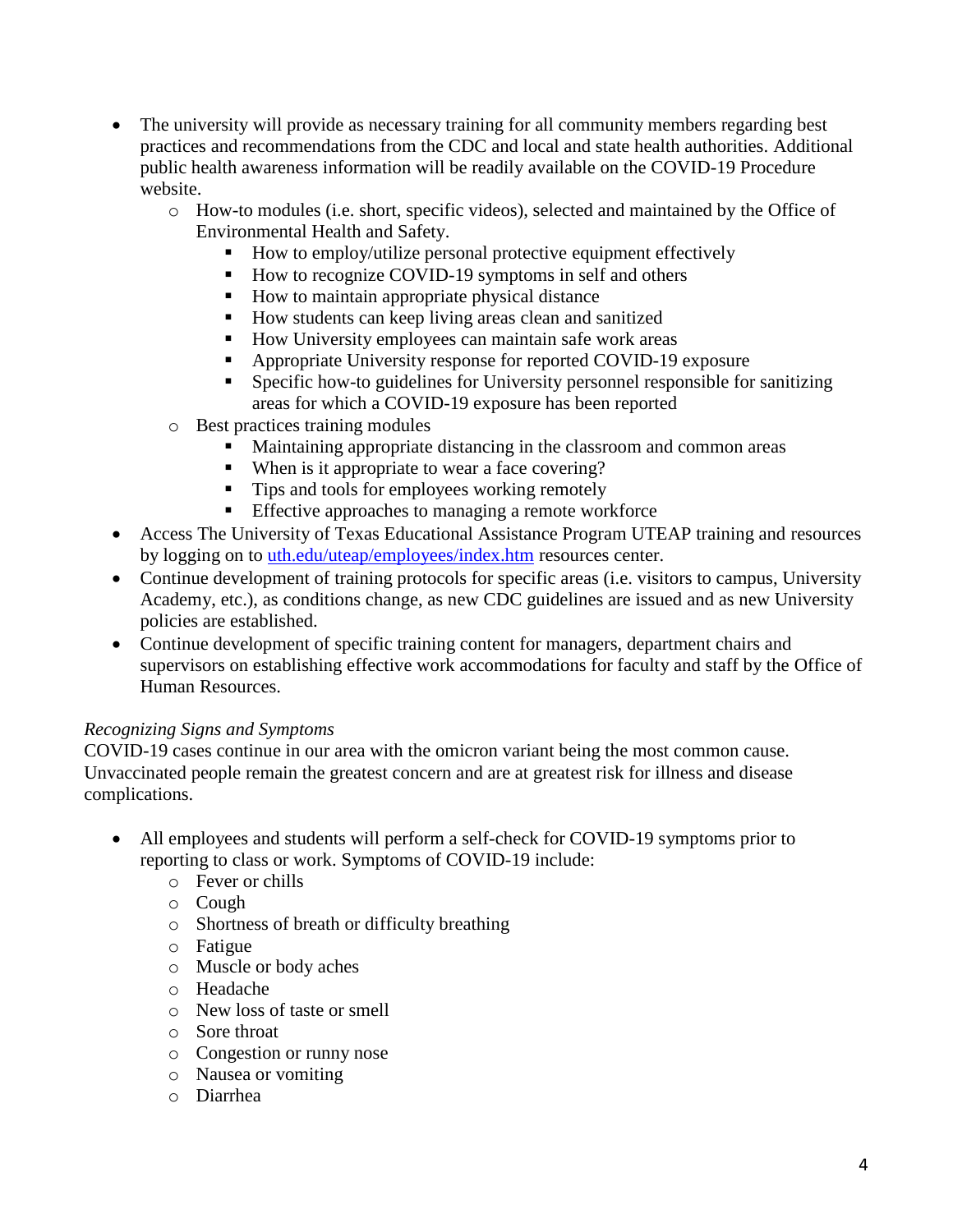- The university will provide as necessary training for all community members regarding best practices and recommendations from the CDC and local and state health authorities. Additional public health awareness information will be readily available on the COVID-19 Procedure website.
	- o How-to modules (i.e. short, specific videos), selected and maintained by the Office of Environmental Health and Safety.
		- How to employ/utilize personal protective equipment effectively
		- How to recognize COVID-19 symptoms in self and others
		- How to maintain appropriate physical distance
		- How students can keep living areas clean and sanitized
		- How University employees can maintain safe work areas
		- Appropriate University response for reported COVID-19 exposure
		- Specific how-to guidelines for University personnel responsible for sanitizing areas for which a COVID-19 exposure has been reported
	- o Best practices training modules
		- Maintaining appropriate distancing in the classroom and common areas
		- When is it appropriate to wear a face covering?
		- Tips and tools for employees working remotely
		- **Effective approaches to managing a remote workforce**
- Access The University of Texas Educational Assistance Program UTEAP training and resources by logging on to [uth.edu/uteap/employees/index.htm](http://www.uth.edu/uteap/employees/index.htm) resources center.
- Continue development of training protocols for specific areas (i.e. visitors to campus, University Academy, etc.), as conditions change, as new CDC guidelines are issued and as new University policies are established.
- Continue development of specific training content for managers, department chairs and supervisors on establishing effective work accommodations for faculty and staff by the Office of Human Resources.

#### *Recognizing Signs and Symptoms*

COVID-19 cases continue in our area with the omicron variant being the most common cause. Unvaccinated people remain the greatest concern and are at greatest risk for illness and disease complications.

- All employees and students will perform a self-check for COVID-19 symptoms prior to reporting to class or work. Symptoms of COVID-19 include:
	- o Fever or chills
	- o Cough
	- o Shortness of breath or difficulty breathing
	- o Fatigue
	- o Muscle or body aches
	- o Headache
	- o New loss of taste or smell
	- o Sore throat
	- o Congestion or runny nose
	- o Nausea or vomiting
	- o Diarrhea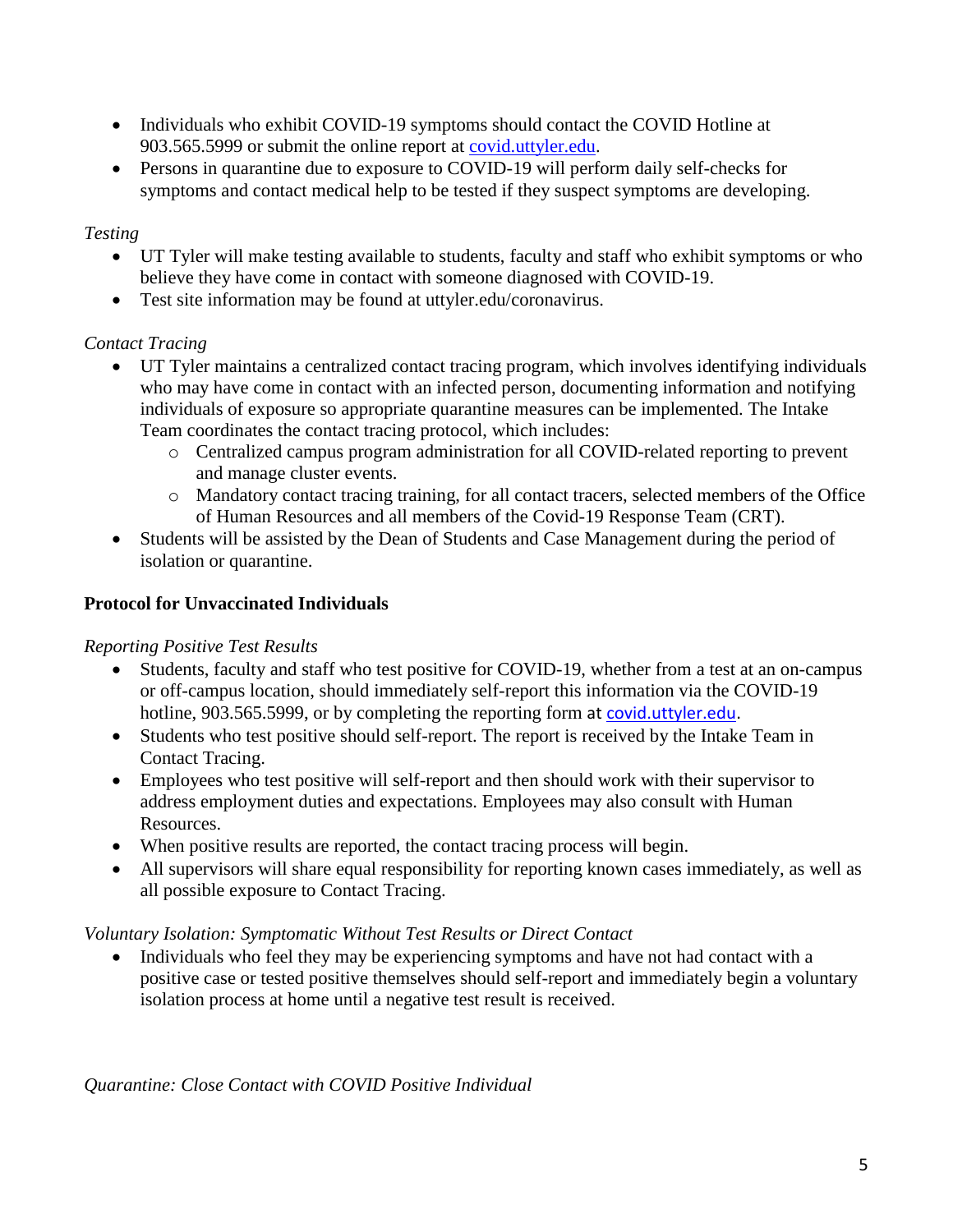- Individuals who exhibit COVID-19 symptoms should contact the COVID Hotline at 903.565.5999 or submit the online report at [covid.uttyler.edu.](https://www.uttyler.edu/coronavirus/)
- Persons in quarantine due to exposure to COVID-19 will perform daily self-checks for symptoms and contact medical help to be tested if they suspect symptoms are developing.

## *Testing*

- UT Tyler will make testing available to students, faculty and staff who exhibit symptoms or who believe they have come in contact with someone diagnosed with COVID-19.
- Test site information may be found at uttyler.edu/coronavirus.

## *Contact Tracing*

- UT Tyler maintains a centralized contact tracing program, which involves identifying individuals who may have come in contact with an infected person, documenting information and notifying individuals of exposure so appropriate quarantine measures can be implemented. The Intake Team coordinates the contact tracing protocol, which includes:
	- o Centralized campus program administration for all COVID-related reporting to prevent and manage cluster events.
	- o Mandatory contact tracing training, for all contact tracers, selected members of the Office of Human Resources and all members of the Covid-19 Response Team (CRT).
- Students will be assisted by the Dean of Students and Case Management during the period of isolation or quarantine.

## **Protocol for Unvaccinated Individuals**

#### *Reporting Positive Test Results*

- Students, faculty and staff who test positive for COVID-19, whether from a test at an on-campus or off-campus location, should immediately self-report this information via the COVID-19 hotline, 903.565.5999, or by completing the reporting form at [covid.uttyler.edu.](https://www.uttyler.edu/coronavirus/)
- Students who test positive should self-report. The report is received by the Intake Team in Contact Tracing.
- Employees who test positive will self-report and then should work with their supervisor to address employment duties and expectations. Employees may also consult with Human Resources.
- When positive results are reported, the contact tracing process will begin.
- All supervisors will share equal responsibility for reporting known cases immediately, as well as all possible exposure to Contact Tracing.

#### *Voluntary Isolation: Symptomatic Without Test Results or Direct Contact*

• Individuals who feel they may be experiencing symptoms and have not had contact with a positive case or tested positive themselves should self-report and immediately begin a voluntary isolation process at home until a negative test result is received.

*Quarantine: Close Contact with COVID Positive Individual*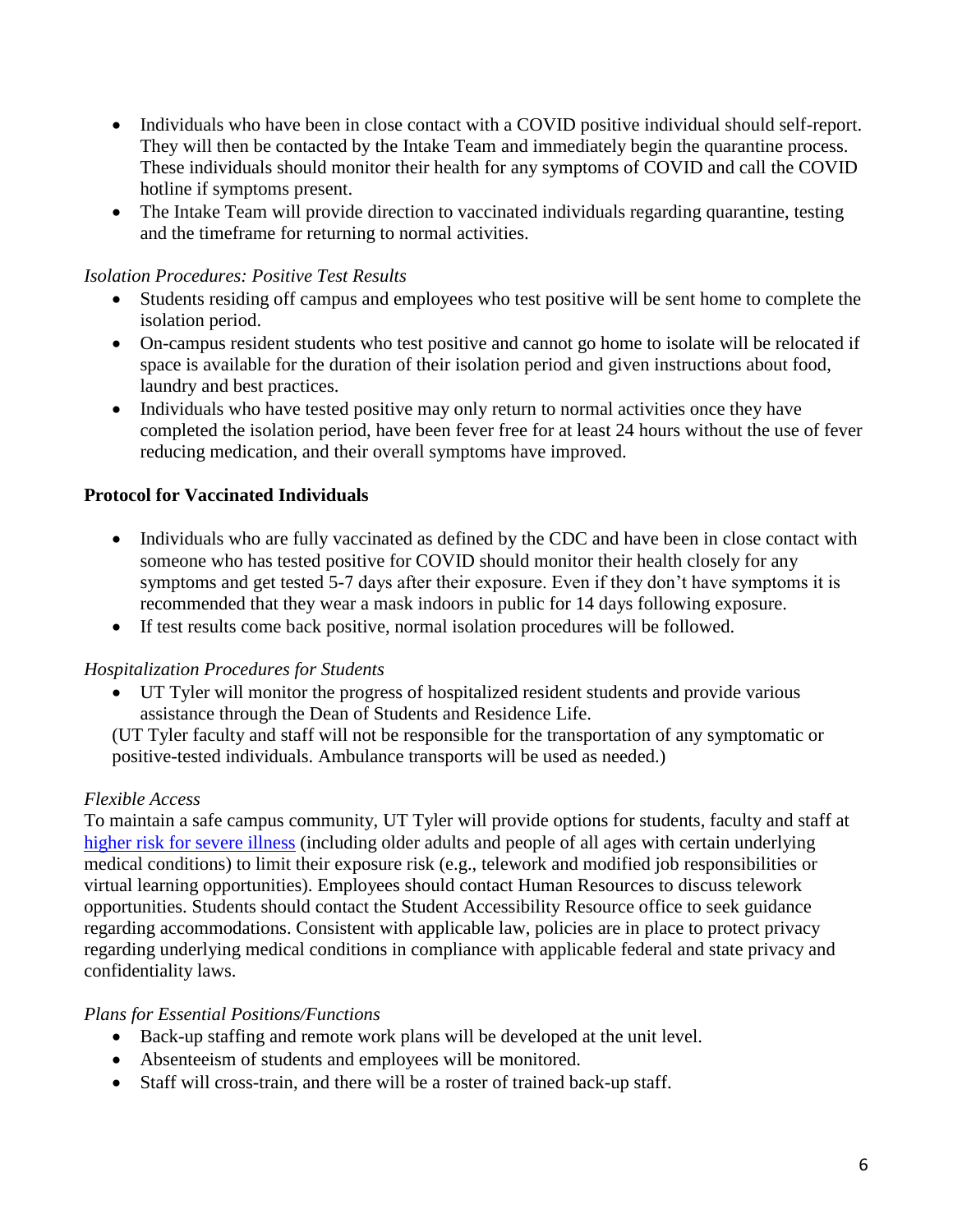- Individuals who have been in close contact with a COVID positive individual should self-report. They will then be contacted by the Intake Team and immediately begin the quarantine process. These individuals should monitor their health for any symptoms of COVID and call the COVID hotline if symptoms present.
- The Intake Team will provide direction to vaccinated individuals regarding quarantine, testing and the timeframe for returning to normal activities.

#### *Isolation Procedures: Positive Test Results*

- Students residing off campus and employees who test positive will be sent home to complete the isolation period.
- On-campus resident students who test positive and cannot go home to isolate will be relocated if space is available for the duration of their isolation period and given instructions about food, laundry and best practices.
- Individuals who have tested positive may only return to normal activities once they have completed the isolation period, have been fever free for at least 24 hours without the use of fever reducing medication, and their overall symptoms have improved.

## **Protocol for Vaccinated Individuals**

- Individuals who are fully vaccinated as defined by the CDC and have been in close contact with someone who has tested positive for COVID should monitor their health closely for any symptoms and get tested 5-7 days after their exposure. Even if they don't have symptoms it is recommended that they wear a mask indoors in public for 14 days following exposure.
- If test results come back positive, normal isolation procedures will be followed.

#### *Hospitalization Procedures for Students*

• UT Tyler will monitor the progress of hospitalized resident students and provide various assistance through the Dean of Students and Residence Life.

(UT Tyler faculty and staff will not be responsible for the transportation of any symptomatic or positive-tested individuals. Ambulance transports will be used as needed.)

#### *Flexible Access*

To maintain a safe campus community, UT Tyler will provide options for students, faculty and staff at [higher risk for severe illness](https://www.cdc.gov/coronavirus/2019-ncov/hcp/faq.html) (including older adults and people of all ages with certain underlying medical conditions) to limit their exposure risk (e.g., telework and modified job responsibilities or virtual learning opportunities). Employees should contact Human Resources to discuss telework opportunities. Students should contact the Student Accessibility Resource office to seek guidance regarding accommodations. Consistent with applicable law, policies are in place to protect privacy regarding underlying medical conditions in compliance with applicable federal and state privacy and confidentiality laws.

#### *Plans for Essential Positions/Functions*

- Back-up staffing and remote work plans will be developed at the unit level.
- Absenteeism of students and employees will be monitored.
- Staff will cross-train, and there will be a roster of trained back-up staff.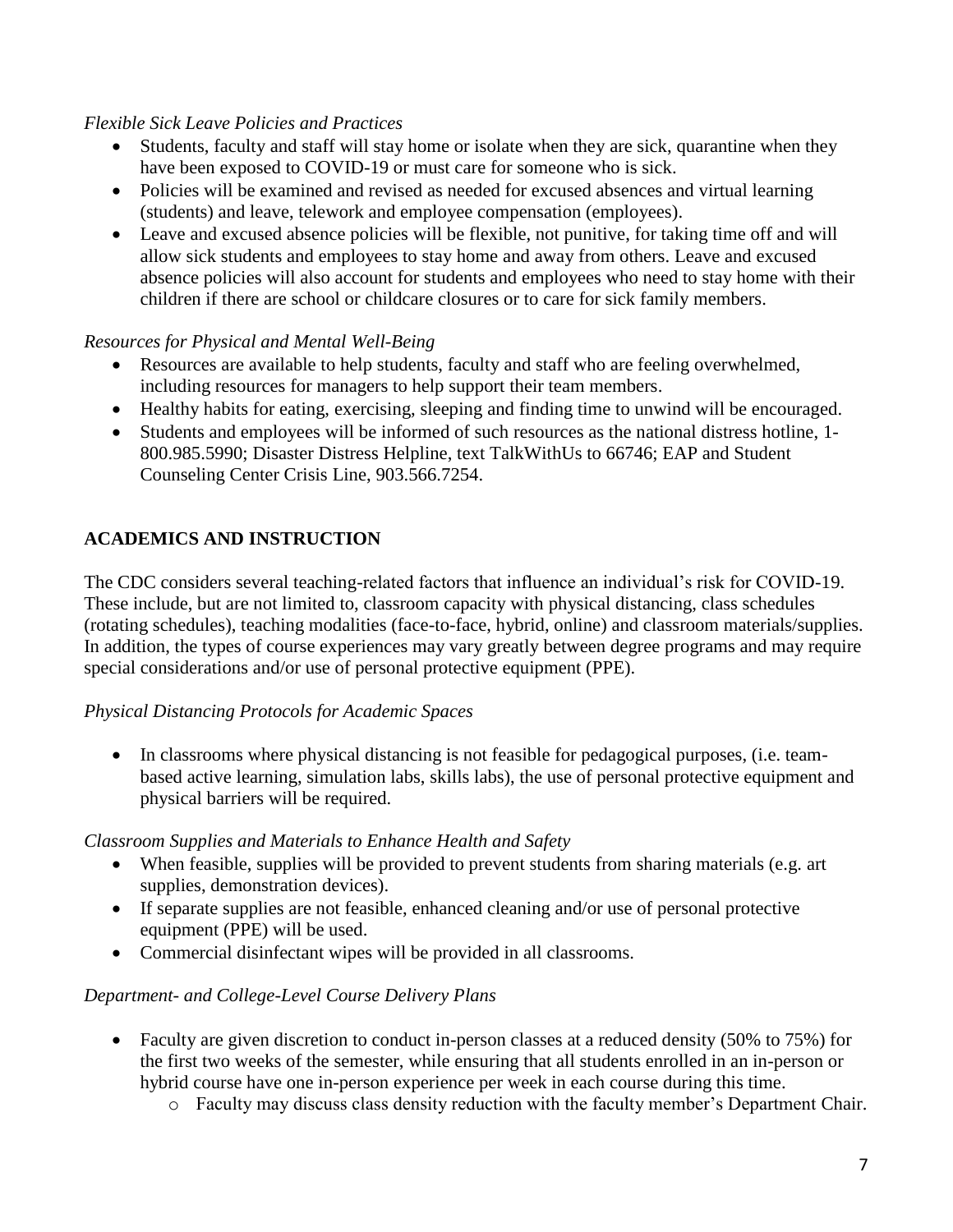## *Flexible Sick Leave Policies and Practices*

- Students, faculty and staff will stay home or isolate when they are sick, quarantine when they have been exposed to COVID-19 or must care for someone who is sick.
- Policies will be examined and revised as needed for excused absences and virtual learning (students) and leave, telework and employee compensation (employees).
- Leave and excused absence policies will be flexible, not punitive, for taking time off and will allow sick students and employees to stay home and away from others. Leave and excused absence policies will also account for students and employees who need to stay home with their children if there are school or childcare closures or to care for sick family members.

#### *Resources for Physical and Mental Well-Being*

- Resources are available to help students, faculty and staff who are feeling overwhelmed, including resources for managers to help support their team members.
- Healthy habits for eating, exercising, sleeping and finding time to unwind will be encouraged.
- Students and employees will be informed of such resources as the national distress hotline, 1- 800.985.5990; Disaster Distress Helpline, text TalkWithUs to 66746; EAP and Student Counseling Center Crisis Line, 903.566.7254.

# **ACADEMICS AND INSTRUCTION**

The CDC considers several teaching-related factors that influence an individual's risk for COVID-19. These include, but are not limited to, classroom capacity with physical distancing, class schedules (rotating schedules), teaching modalities (face-to-face, hybrid, online) and classroom materials/supplies. In addition, the types of course experiences may vary greatly between degree programs and may require special considerations and/or use of personal protective equipment (PPE).

## *Physical Distancing Protocols for Academic Spaces*

• In classrooms where physical distancing is not feasible for pedagogical purposes, (i.e. teambased active learning, simulation labs, skills labs), the use of personal protective equipment and physical barriers will be required.

#### *Classroom Supplies and Materials to Enhance Health and Safety*

- When feasible, supplies will be provided to prevent students from sharing materials (e.g. art supplies, demonstration devices).
- If separate supplies are not feasible, enhanced cleaning and/or use of personal protective equipment (PPE) will be used.
- Commercial disinfectant wipes will be provided in all classrooms.

## *Department- and College-Level Course Delivery Plans*

- Faculty are given discretion to conduct in-person classes at a reduced density (50% to 75%) for the first two weeks of the semester, while ensuring that all students enrolled in an in-person or hybrid course have one in-person experience per week in each course during this time.
	- o Faculty may discuss class density reduction with the faculty member's Department Chair.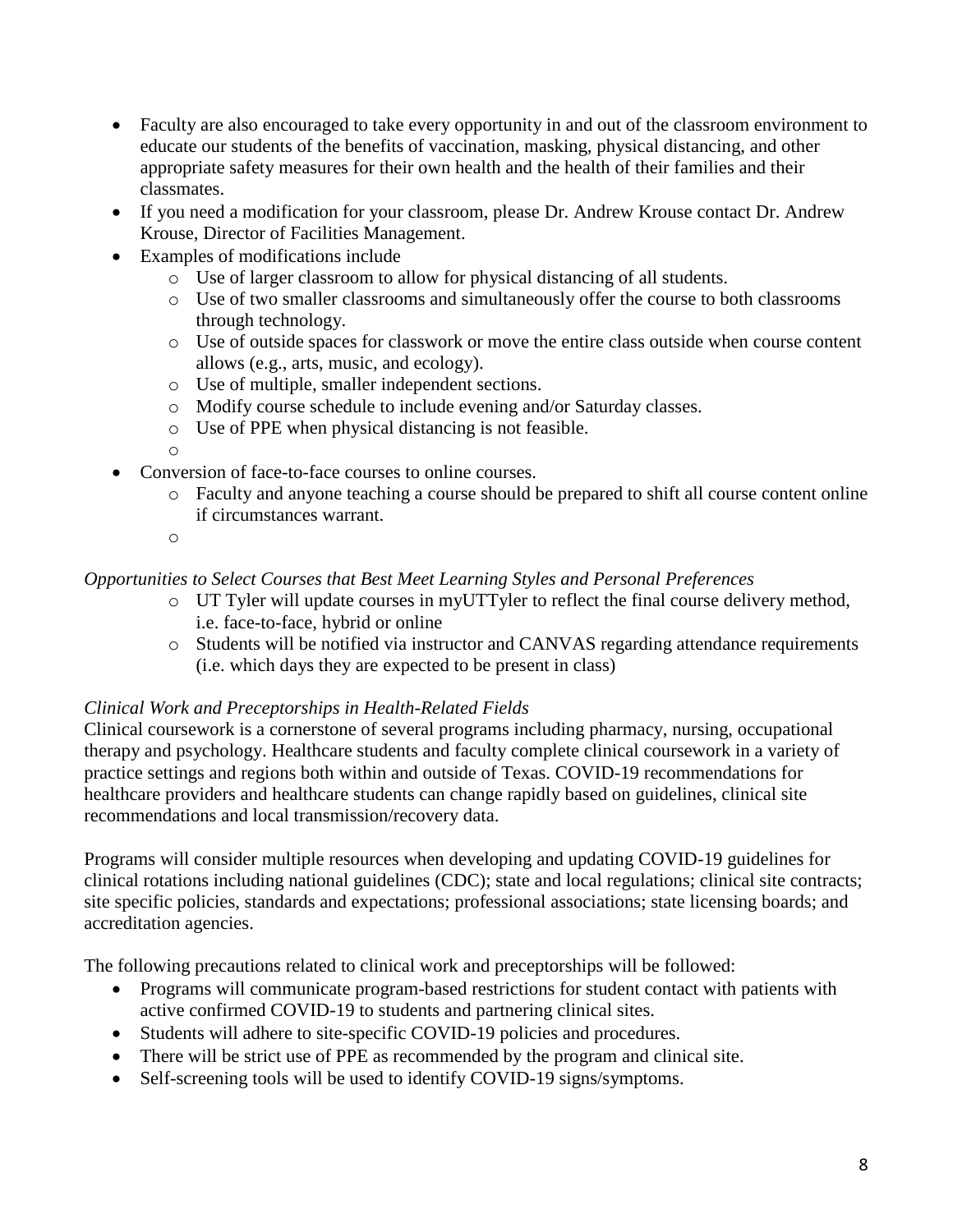- Faculty are also encouraged to take every opportunity in and out of the classroom environment to educate our students of the benefits of vaccination, masking, physical distancing, and other appropriate safety measures for their own health and the health of their families and their classmates.
- If you need a modification for your classroom, please Dr. Andrew Krouse contact Dr. Andrew Krouse, Director of Facilities Management.
- Examples of modifications include
	- o Use of larger classroom to allow for physical distancing of all students.
	- o Use of two smaller classrooms and simultaneously offer the course to both classrooms through technology.
	- o Use of outside spaces for classwork or move the entire class outside when course content allows (e.g., arts, music, and ecology).
	- o Use of multiple, smaller independent sections.
	- o Modify course schedule to include evening and/or Saturday classes.
	- o Use of PPE when physical distancing is not feasible.
	- o
	- Conversion of face-to-face courses to online courses.
		- o Faculty and anyone teaching a course should be prepared to shift all course content online if circumstances warrant.
		- o

#### *Opportunities to Select Courses that Best Meet Learning Styles and Personal Preferences*

- o UT Tyler will update courses in myUTTyler to reflect the final course delivery method, i.e. face-to-face, hybrid or online
- o Students will be notified via instructor and CANVAS regarding attendance requirements (i.e. which days they are expected to be present in class)

#### *Clinical Work and Preceptorships in Health-Related Fields*

Clinical coursework is a cornerstone of several programs including pharmacy, nursing, occupational therapy and psychology. Healthcare students and faculty complete clinical coursework in a variety of practice settings and regions both within and outside of Texas. COVID-19 recommendations for healthcare providers and healthcare students can change rapidly based on guidelines, clinical site recommendations and local transmission/recovery data.

Programs will consider multiple resources when developing and updating COVID-19 guidelines for clinical rotations including national guidelines (CDC); state and local regulations; clinical site contracts; site specific policies, standards and expectations; professional associations; state licensing boards; and accreditation agencies.

The following precautions related to clinical work and preceptorships will be followed:

- Programs will communicate program-based restrictions for student contact with patients with active confirmed COVID-19 to students and partnering clinical sites.
- Students will adhere to site-specific COVID-19 policies and procedures.
- There will be strict use of PPE as recommended by the program and clinical site.
- Self-screening tools will be used to identify COVID-19 signs/symptoms.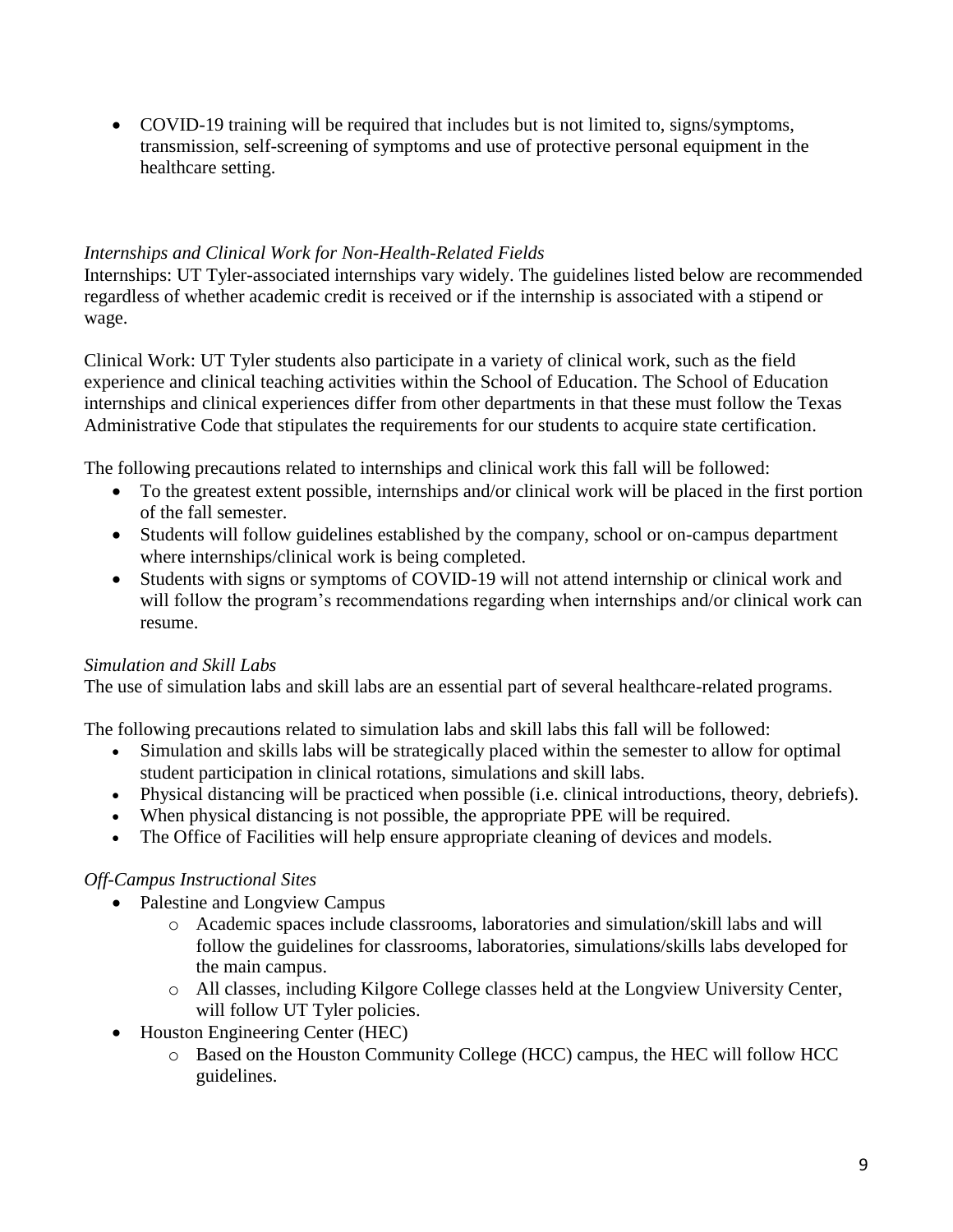• COVID-19 training will be required that includes but is not limited to, signs/symptoms, transmission, self-screening of symptoms and use of protective personal equipment in the healthcare setting.

## *Internships and Clinical Work for Non-Health-Related Fields*

Internships: UT Tyler-associated internships vary widely. The guidelines listed below are recommended regardless of whether academic credit is received or if the internship is associated with a stipend or wage.

Clinical Work: UT Tyler students also participate in a variety of clinical work, such as the field experience and clinical teaching activities within the School of Education. The School of Education internships and clinical experiences differ from other departments in that these must follow the Texas Administrative Code that stipulates the requirements for our students to acquire state certification.

The following precautions related to internships and clinical work this fall will be followed:

- To the greatest extent possible, internships and/or clinical work will be placed in the first portion of the fall semester.
- Students will follow guidelines established by the company, school or on-campus department where internships/clinical work is being completed.
- Students with signs or symptoms of COVID-19 will not attend internship or clinical work and will follow the program's recommendations regarding when internships and/or clinical work can resume.

## *Simulation and Skill Labs*

The use of simulation labs and skill labs are an essential part of several healthcare-related programs.

The following precautions related to simulation labs and skill labs this fall will be followed:

- Simulation and skills labs will be strategically placed within the semester to allow for optimal student participation in clinical rotations, simulations and skill labs.
- Physical distancing will be practiced when possible (i.e. clinical introductions, theory, debriefs).
- When physical distancing is not possible, the appropriate PPE will be required.
- The Office of Facilities will help ensure appropriate cleaning of devices and models.

## *Off-Campus Instructional Sites*

- Palestine and Longview Campus
	- o Academic spaces include classrooms, laboratories and simulation/skill labs and will follow the guidelines for classrooms, laboratories, simulations/skills labs developed for the main campus.
	- o All classes, including Kilgore College classes held at the Longview University Center, will follow UT Tyler policies.
- Houston Engineering Center (HEC)
	- o Based on the Houston Community College (HCC) campus, the HEC will follow HCC guidelines.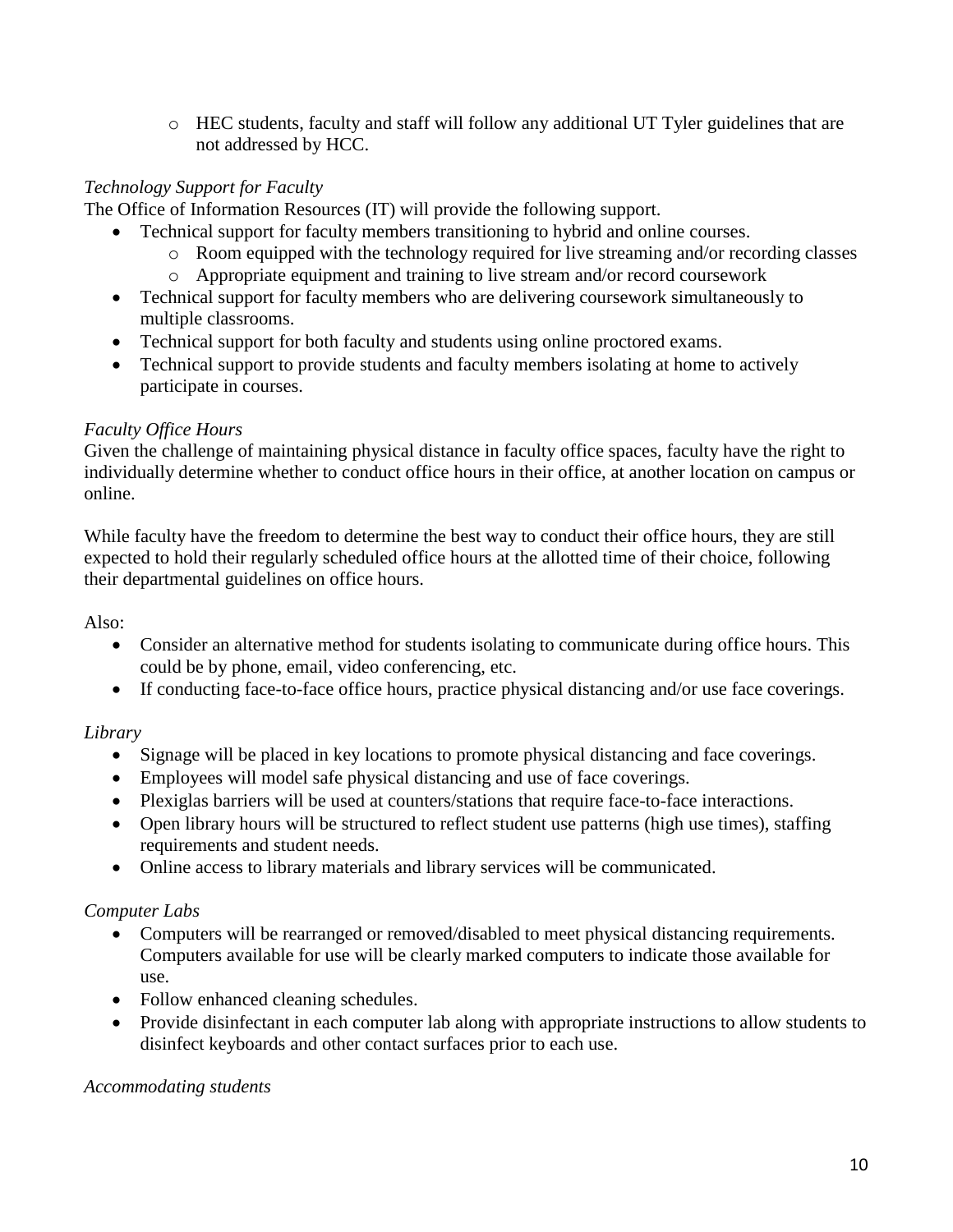o HEC students, faculty and staff will follow any additional UT Tyler guidelines that are not addressed by HCC.

# *Technology Support for Faculty*

The Office of Information Resources (IT) will provide the following support.

- Technical support for faculty members transitioning to hybrid and online courses.
	- o Room equipped with the technology required for live streaming and/or recording classes
	- o Appropriate equipment and training to live stream and/or record coursework
- Technical support for faculty members who are delivering coursework simultaneously to multiple classrooms.
- Technical support for both faculty and students using online proctored exams.
- Technical support to provide students and faculty members isolating at home to actively participate in courses.

## *Faculty Office Hours*

Given the challenge of maintaining physical distance in faculty office spaces, faculty have the right to individually determine whether to conduct office hours in their office, at another location on campus or online.

While faculty have the freedom to determine the best way to conduct their office hours, they are still expected to hold their regularly scheduled office hours at the allotted time of their choice, following their departmental guidelines on office hours.

Also:

- Consider an alternative method for students isolating to communicate during office hours. This could be by phone, email, video conferencing, etc.
- If conducting face-to-face office hours, practice physical distancing and/or use face coverings.

## *Library*

- Signage will be placed in key locations to promote physical distancing and face coverings.
- Employees will model safe physical distancing and use of face coverings.
- Plexiglas barriers will be used at counters/stations that require face-to-face interactions.
- Open library hours will be structured to reflect student use patterns (high use times), staffing requirements and student needs.
- Online access to library materials and library services will be communicated.

## *Computer Labs*

- Computers will be rearranged or removed/disabled to meet physical distancing requirements. Computers available for use will be clearly marked computers to indicate those available for use.
- Follow enhanced cleaning schedules.
- Provide disinfectant in each computer lab along with appropriate instructions to allow students to disinfect keyboards and other contact surfaces prior to each use.

#### *Accommodating students*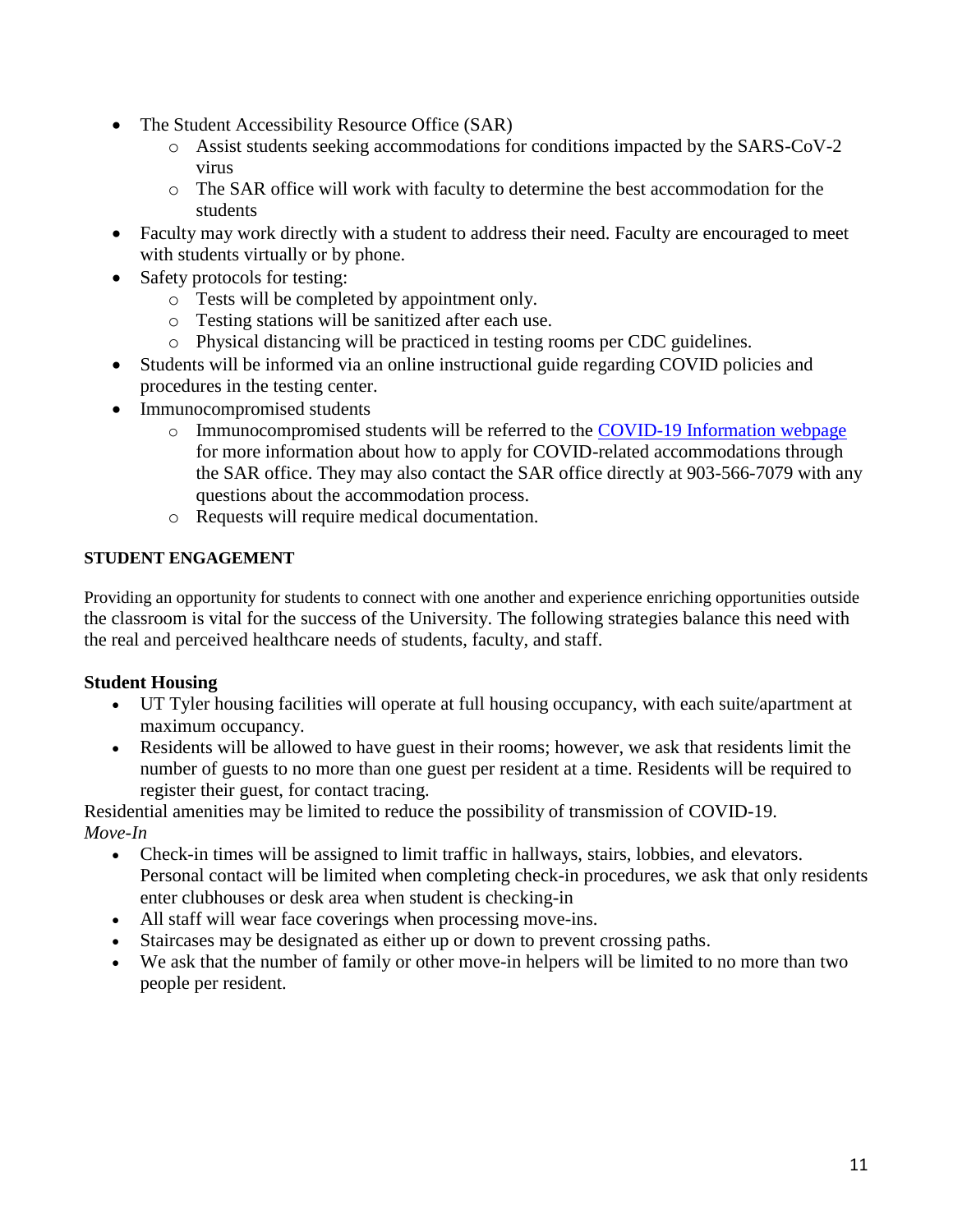- The Student Accessibility Resource Office (SAR)
	- o Assist students seeking accommodations for conditions impacted by the SARS-CoV-2 virus
	- o The SAR office will work with faculty to determine the best accommodation for the students
- Faculty may work directly with a student to address their need. Faculty are encouraged to meet with students virtually or by phone.
- Safety protocols for testing:
	- o Tests will be completed by appointment only.
	- o Testing stations will be sanitized after each use.
	- o Physical distancing will be practiced in testing rooms per CDC guidelines.
- Students will be informed via an online instructional guide regarding COVID policies and procedures in the testing center.
- Immunocompromised students
	- o Immunocompromised students will be referred to the [COVID-19 Information webpage](https://www.uttyler.edu/disability-services/sar-covid/) for more information about how to apply for COVID-related accommodations through the SAR office. They may also contact the SAR office directly at 903-566-7079 with any questions about the accommodation process.
	- o Requests will require medical documentation.

#### **STUDENT ENGAGEMENT**

Providing an opportunity for students to connect with one another and experience enriching opportunities outside the classroom is vital for the success of the University. The following strategies balance this need with the real and perceived healthcare needs of students, faculty, and staff.

#### **Student Housing**

- UT Tyler housing facilities will operate at full housing occupancy, with each suite/apartment at maximum occupancy.
- Residents will be allowed to have guest in their rooms; however, we ask that residents limit the number of guests to no more than one guest per resident at a time. Residents will be required to register their guest, for contact tracing.

Residential amenities may be limited to reduce the possibility of transmission of COVID-19. *Move-In*

- Check-in times will be assigned to limit traffic in hallways, stairs, lobbies, and elevators. Personal contact will be limited when completing check-in procedures, we ask that only residents enter clubhouses or desk area when student is checking-in
- All staff will wear face coverings when processing move-ins.
- Staircases may be designated as either up or down to prevent crossing paths.
- We ask that the number of family or other move-in helpers will be limited to no more than two people per resident.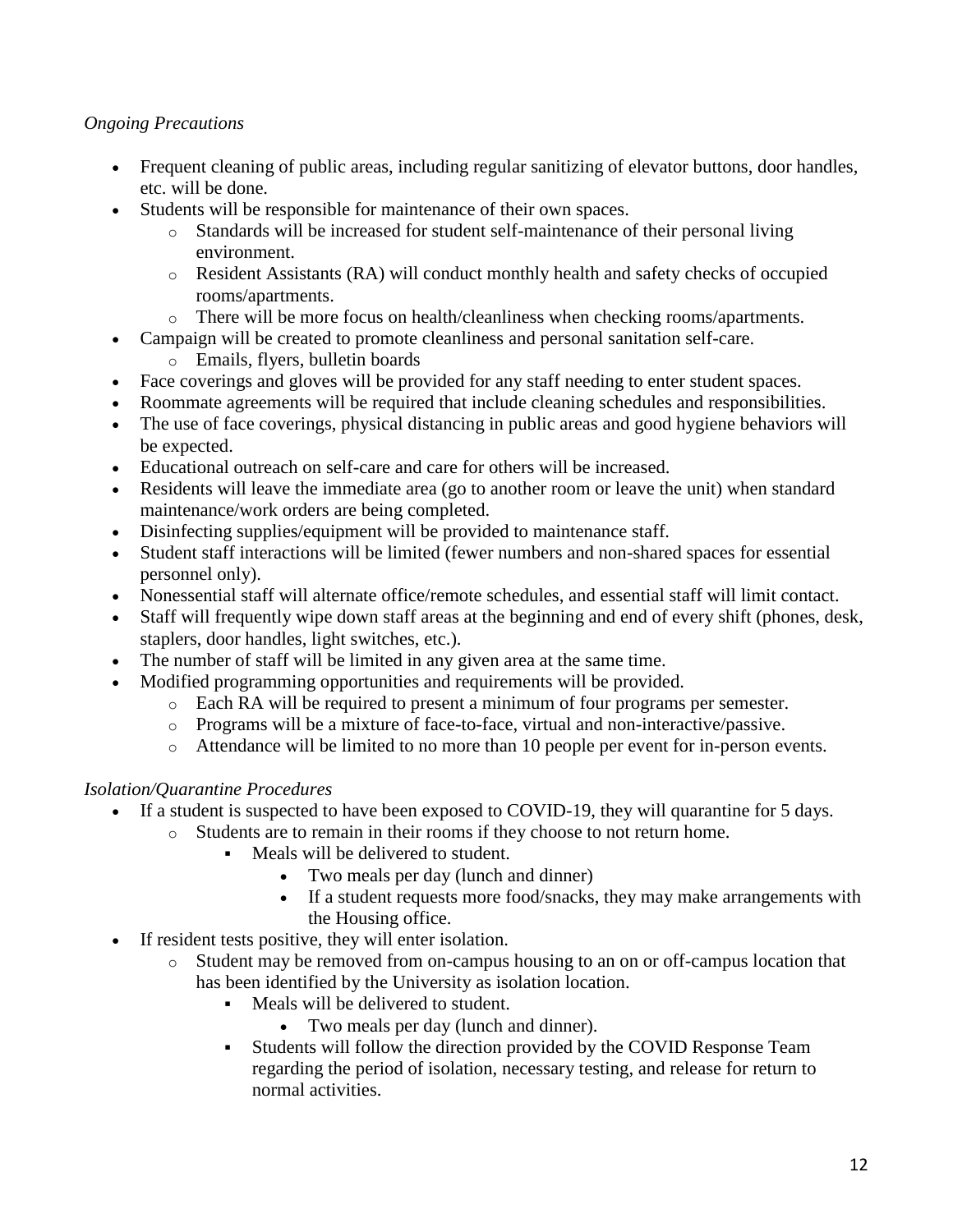## *Ongoing Precautions*

- Frequent cleaning of public areas, including regular sanitizing of elevator buttons, door handles, etc. will be done.
- Students will be responsible for maintenance of their own spaces.
	- o Standards will be increased for student self-maintenance of their personal living environment.
	- o Resident Assistants (RA) will conduct monthly health and safety checks of occupied rooms/apartments.
	- o There will be more focus on health/cleanliness when checking rooms/apartments.
- Campaign will be created to promote cleanliness and personal sanitation self-care.
	- o Emails, flyers, bulletin boards
- Face coverings and gloves will be provided for any staff needing to enter student spaces.
- Roommate agreements will be required that include cleaning schedules and responsibilities.
- The use of face coverings, physical distancing in public areas and good hygiene behaviors will be expected.
- Educational outreach on self-care and care for others will be increased.
- Residents will leave the immediate area (go to another room or leave the unit) when standard maintenance/work orders are being completed.
- Disinfecting supplies/equipment will be provided to maintenance staff.
- Student staff interactions will be limited (fewer numbers and non-shared spaces for essential personnel only).
- Nonessential staff will alternate office/remote schedules, and essential staff will limit contact.
- Staff will frequently wipe down staff areas at the beginning and end of every shift (phones, desk, staplers, door handles, light switches, etc.).
- The number of staff will be limited in any given area at the same time.
- Modified programming opportunities and requirements will be provided.
	- o Each RA will be required to present a minimum of four programs per semester.
	- o Programs will be a mixture of face-to-face, virtual and non-interactive/passive.
	- o Attendance will be limited to no more than 10 people per event for in-person events.

## *Isolation/Quarantine Procedures*

- If a student is suspected to have been exposed to COVID-19, they will quarantine for 5 days.
	- o Students are to remain in their rooms if they choose to not return home.
		- Meals will be delivered to student.
			- Two meals per day (lunch and dinner)
			- If a student requests more food/snacks, they may make arrangements with the Housing office.
- If resident tests positive, they will enter isolation.
	- o Student may be removed from on-campus housing to an on or off-campus location that has been identified by the University as isolation location.
		- Meals will be delivered to student.
			- Two meals per day (lunch and dinner).
		- Students will follow the direction provided by the COVID Response Team regarding the period of isolation, necessary testing, and release for return to normal activities.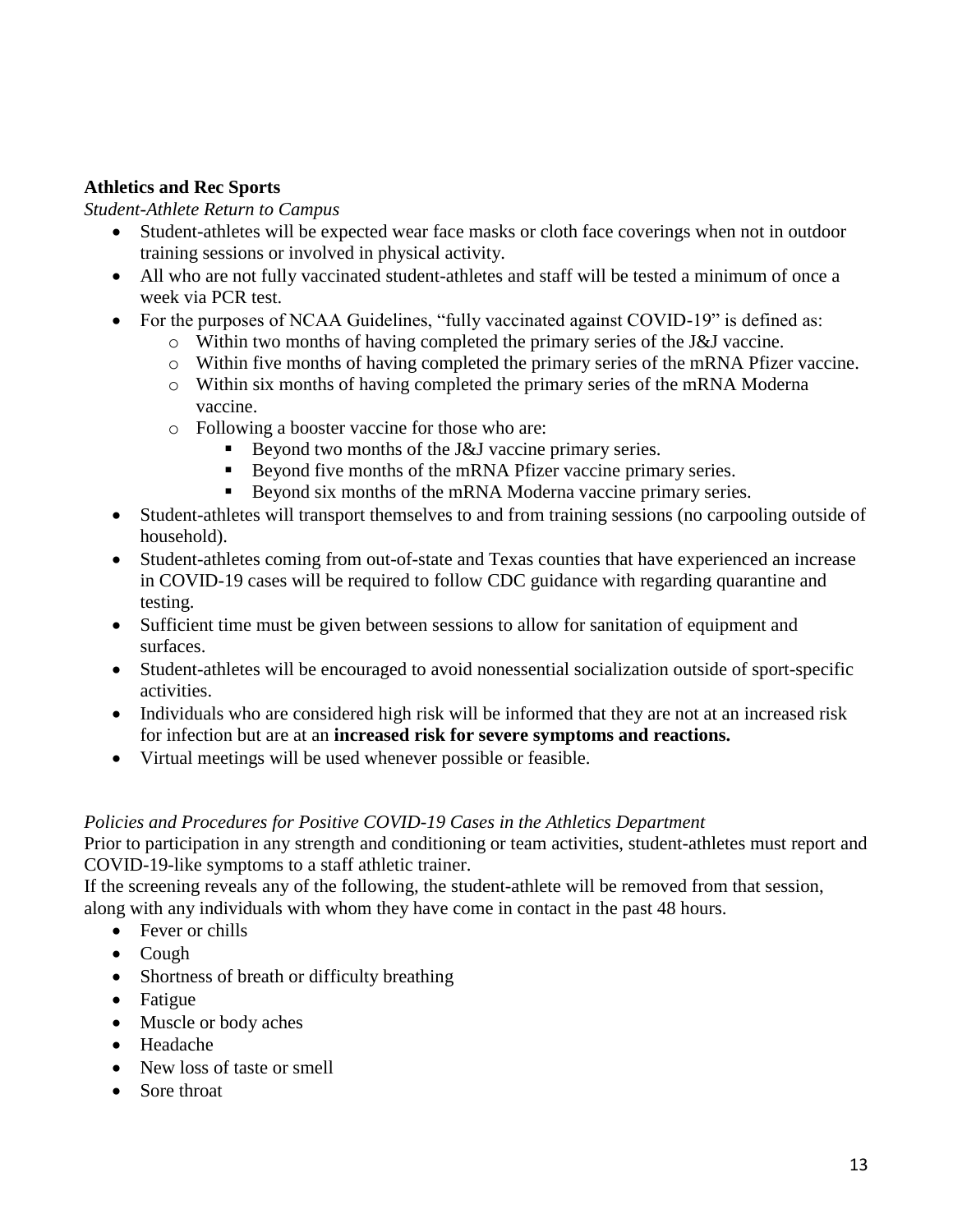## **Athletics and Rec Sports**

#### *Student-Athlete Return to Campus*

- Student-athletes will be expected wear face masks or cloth face coverings when not in outdoor training sessions or involved in physical activity.
- All who are not fully vaccinated student-athletes and staff will be tested a minimum of once a week via PCR test.
- For the purposes of NCAA Guidelines, "fully vaccinated against COVID-19" is defined as:
	- o Within two months of having completed the primary series of the J&J vaccine.
	- o Within five months of having completed the primary series of the mRNA Pfizer vaccine.
	- o Within six months of having completed the primary series of the mRNA Moderna vaccine.
	- o Following a booster vaccine for those who are:
		- Beyond two months of the J&J vaccine primary series.
		- Beyond five months of the mRNA Pfizer vaccine primary series.
		- Beyond six months of the mRNA Moderna vaccine primary series.
- Student-athletes will transport themselves to and from training sessions (no carpooling outside of household).
- Student-athletes coming from out-of-state and Texas counties that have experienced an increase in COVID-19 cases will be required to follow CDC guidance with regarding quarantine and testing.
- Sufficient time must be given between sessions to allow for sanitation of equipment and surfaces.
- Student-athletes will be encouraged to avoid nonessential socialization outside of sport-specific activities.
- Individuals who are considered high risk will be informed that they are not at an increased risk for infection but are at an **increased risk for severe symptoms and reactions.**
- Virtual meetings will be used whenever possible or feasible.

#### *Policies and Procedures for Positive COVID-19 Cases in the Athletics Department*

Prior to participation in any strength and conditioning or team activities, student-athletes must report and COVID-19-like symptoms to a staff athletic trainer.

If the screening reveals any of the following, the student-athlete will be removed from that session, along with any individuals with whom they have come in contact in the past 48 hours.

- Fever or chills
- Cough
- Shortness of breath or difficulty breathing
- Fatigue
- Muscle or body aches
- Headache
- New loss of taste or smell
- Sore throat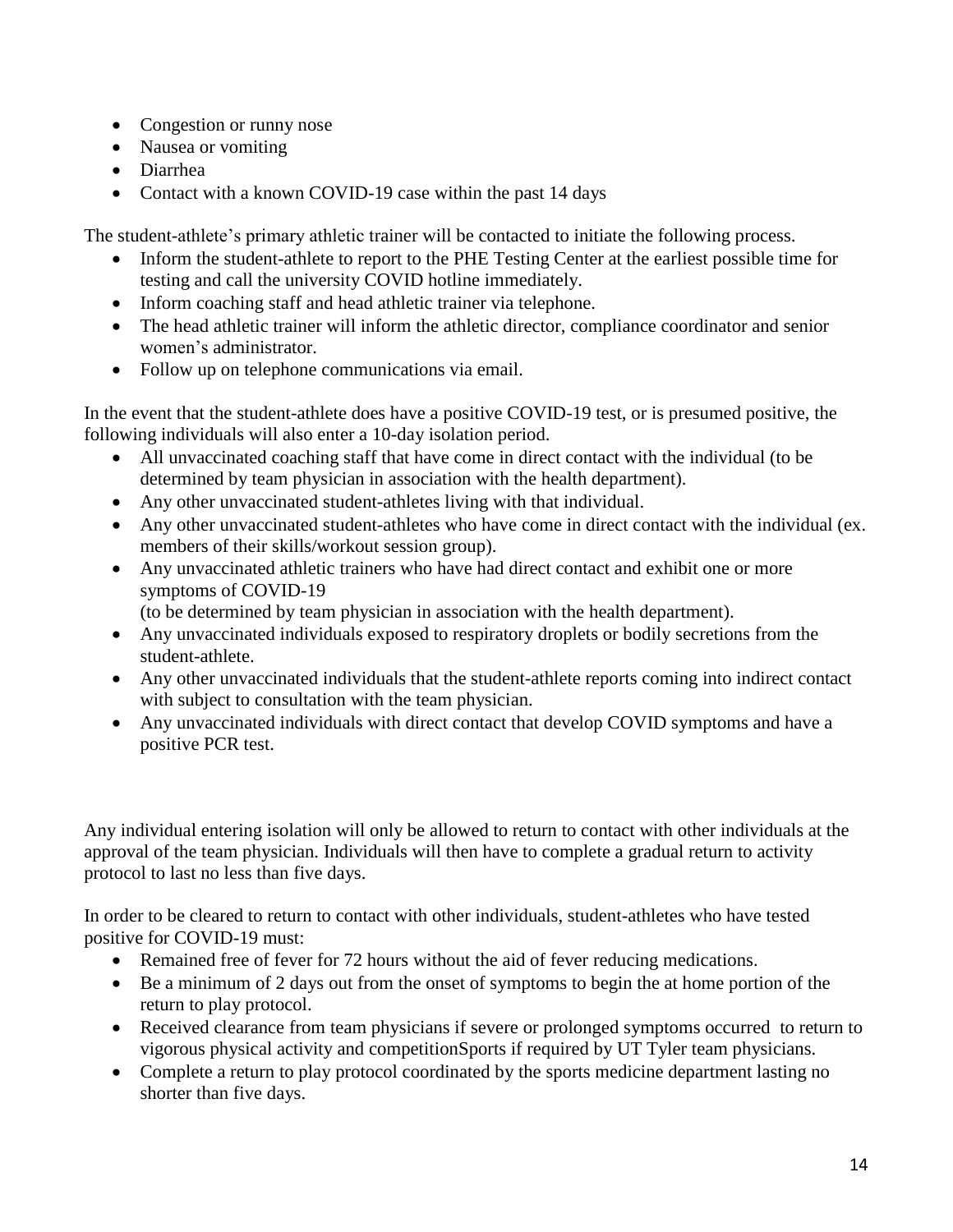- Congestion or runny nose
- Nausea or vomiting
- Diarrhea
- Contact with a known COVID-19 case within the past 14 days

The student-athlete's primary athletic trainer will be contacted to initiate the following process.

- Inform the student-athlete to report to the PHE Testing Center at the earliest possible time for testing and call the university COVID hotline immediately.
- Inform coaching staff and head athletic trainer via telephone.
- The head athletic trainer will inform the athletic director, compliance coordinator and senior women's administrator.
- Follow up on telephone communications via email.

In the event that the student-athlete does have a positive COVID-19 test, or is presumed positive, the following individuals will also enter a 10-day isolation period.

- All unvaccinated coaching staff that have come in direct contact with the individual (to be determined by team physician in association with the health department).
- Any other unvaccinated student-athletes living with that individual.
- Any other unvaccinated student-athletes who have come in direct contact with the individual (ex. members of their skills/workout session group).
- Any unvaccinated athletic trainers who have had direct contact and exhibit one or more symptoms of COVID-19

(to be determined by team physician in association with the health department).

- Any unvaccinated individuals exposed to respiratory droplets or bodily secretions from the student-athlete.
- Any other unvaccinated individuals that the student-athlete reports coming into indirect contact with subject to consultation with the team physician.
- Any unvaccinated individuals with direct contact that develop COVID symptoms and have a positive PCR test.

Any individual entering isolation will only be allowed to return to contact with other individuals at the approval of the team physician. Individuals will then have to complete a gradual return to activity protocol to last no less than five days.

In order to be cleared to return to contact with other individuals, student-athletes who have tested positive for COVID-19 must:

- Remained free of fever for 72 hours without the aid of fever reducing medications.
- Be a minimum of 2 days out from the onset of symptoms to begin the at home portion of the return to play protocol.
- Received clearance from team physicians if severe or prolonged symptoms occurred to return to vigorous physical activity and competitionSports if required by UT Tyler team physicians.
- Complete a return to play protocol coordinated by the sports medicine department lasting no shorter than five days.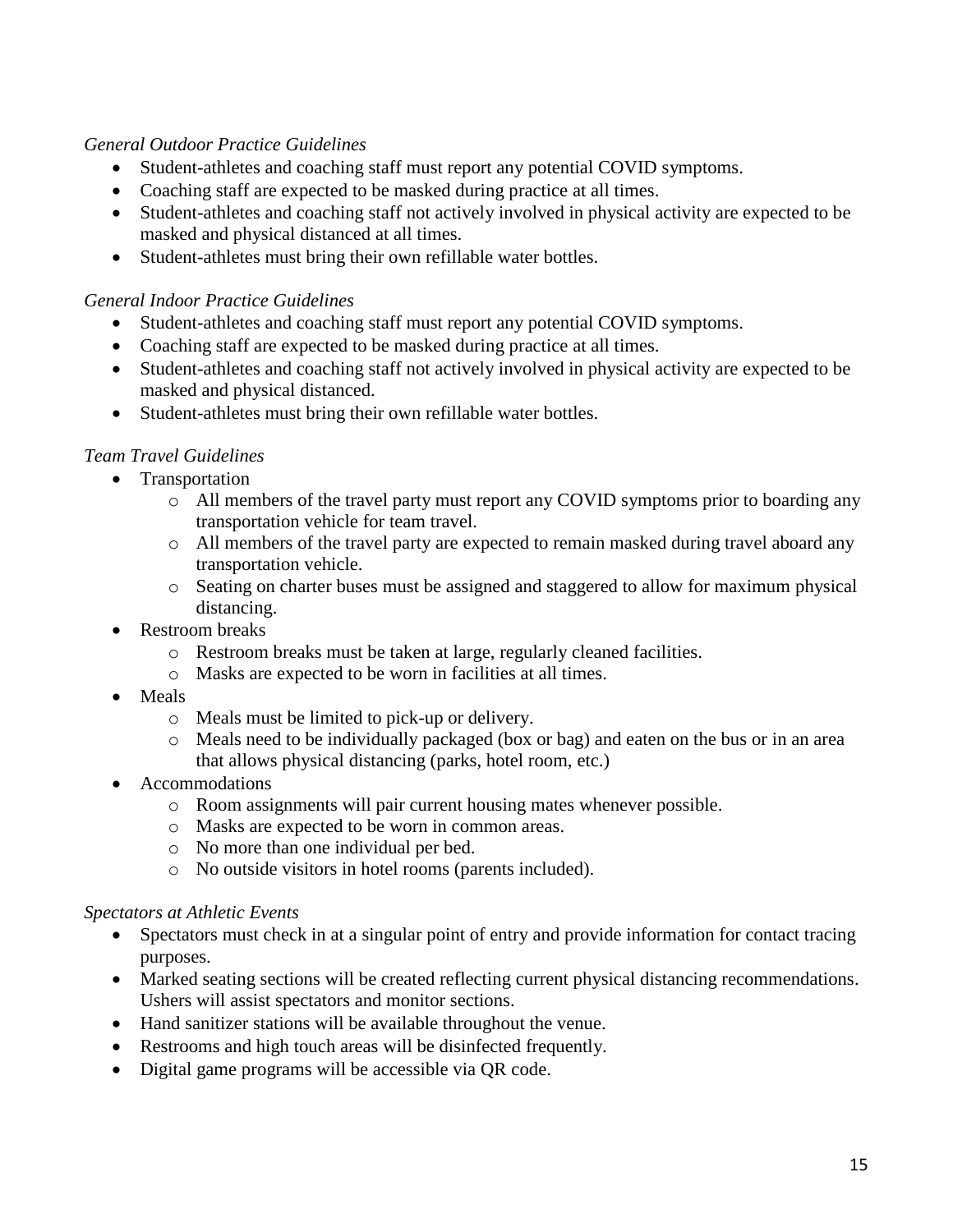#### *General Outdoor Practice Guidelines*

- Student-athletes and coaching staff must report any potential COVID symptoms.
- Coaching staff are expected to be masked during practice at all times.
- Student-athletes and coaching staff not actively involved in physical activity are expected to be masked and physical distanced at all times.
- Student-athletes must bring their own refillable water bottles.

## *General Indoor Practice Guidelines*

- Student-athletes and coaching staff must report any potential COVID symptoms.
- Coaching staff are expected to be masked during practice at all times.
- Student-athletes and coaching staff not actively involved in physical activity are expected to be masked and physical distanced.
- Student-athletes must bring their own refillable water bottles.

## *Team Travel Guidelines*

- Transportation
	- o All members of the travel party must report any COVID symptoms prior to boarding any transportation vehicle for team travel.
	- o All members of the travel party are expected to remain masked during travel aboard any transportation vehicle.
	- o Seating on charter buses must be assigned and staggered to allow for maximum physical distancing.
- Restroom breaks
	- o Restroom breaks must be taken at large, regularly cleaned facilities.
	- o Masks are expected to be worn in facilities at all times.
- Meals
	- o Meals must be limited to pick-up or delivery.
	- o Meals need to be individually packaged (box or bag) and eaten on the bus or in an area that allows physical distancing (parks, hotel room, etc.)
- Accommodations
	- o Room assignments will pair current housing mates whenever possible.
	- o Masks are expected to be worn in common areas.
	- o No more than one individual per bed.
	- o No outside visitors in hotel rooms (parents included).

#### *Spectators at Athletic Events*

- Spectators must check in at a singular point of entry and provide information for contact tracing purposes.
- Marked seating sections will be created reflecting current physical distancing recommendations. Ushers will assist spectators and monitor sections.
- Hand sanitizer stations will be available throughout the venue.
- Restrooms and high touch areas will be disinfected frequently.
- Digital game programs will be accessible via QR code.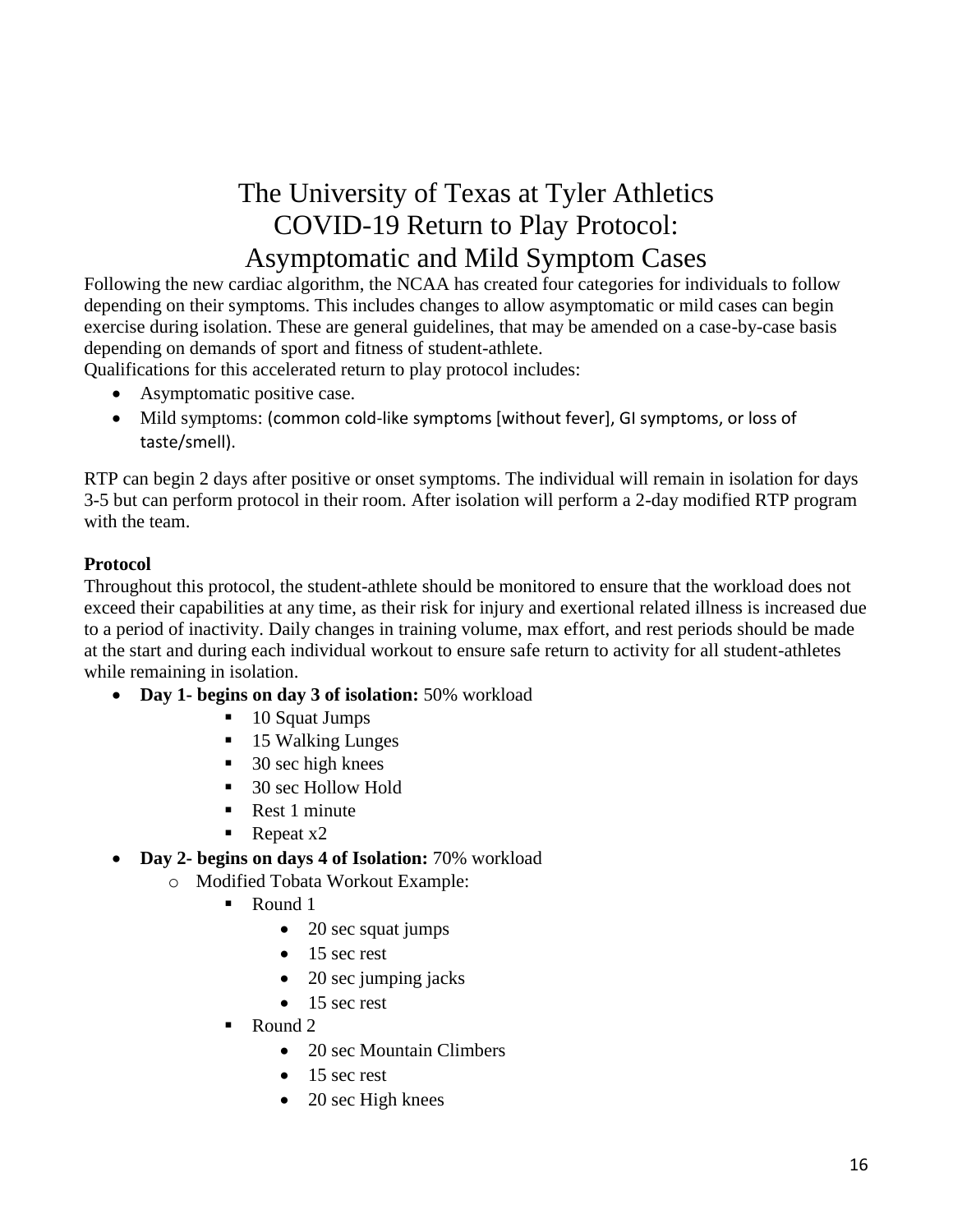# The University of Texas at Tyler Athletics COVID-19 Return to Play Protocol: Asymptomatic and Mild Symptom Cases

Following the new cardiac algorithm, the NCAA has created four categories for individuals to follow depending on their symptoms. This includes changes to allow asymptomatic or mild cases can begin exercise during isolation. These are general guidelines, that may be amended on a case-by-case basis depending on demands of sport and fitness of student-athlete.

Qualifications for this accelerated return to play protocol includes:

- Asymptomatic positive case.
- Mild symptoms: (common cold-like symptoms [without fever], GI symptoms, or loss of taste/smell).

RTP can begin 2 days after positive or onset symptoms. The individual will remain in isolation for days 3-5 but can perform protocol in their room. After isolation will perform a 2-day modified RTP program with the team.

## **Protocol**

Throughout this protocol, the student-athlete should be monitored to ensure that the workload does not exceed their capabilities at any time, as their risk for injury and exertional related illness is increased due to a period of inactivity. Daily changes in training volume, max effort, and rest periods should be made at the start and during each individual workout to ensure safe return to activity for all student-athletes while remaining in isolation.

- **Day 1- begins on day 3 of isolation:** 50% workload
	- 10 Squat Jumps
	- 15 Walking Lunges
	- 30 sec high knees
	- 30 sec Hollow Hold
	- Rest 1 minute
	- $\blacksquare$  Repeat x2
- **Day 2- begins on days 4 of Isolation:** 70% workload
	- o Modified Tobata Workout Example:
		- Round 1
			- 20 sec squat jumps
			- 15 sec rest
			- 20 sec jumping jacks
			- 15 sec rest
		- Round 2
			- 20 sec Mountain Climbers
			- 15 sec rest
			- 20 sec High knees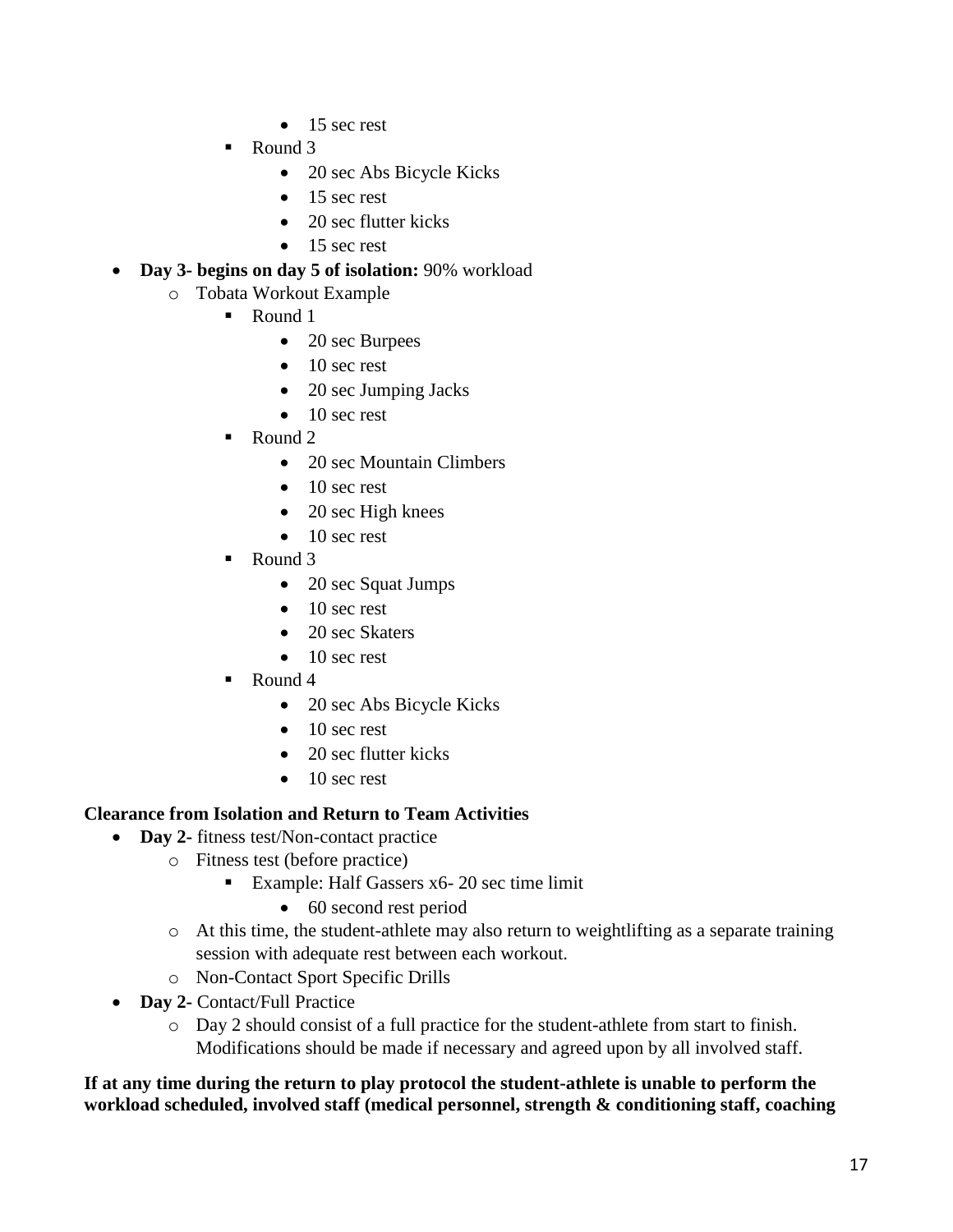- 15 sec rest
- Round 3
	- 20 sec Abs Bicycle Kicks
	- 15 sec rest
	- 20 sec flutter kicks
	- 15 sec rest
- **Day 3- begins on day 5 of isolation:** 90% workload
	- o Tobata Workout Example
		- Round 1
			- 20 sec Burpees
			- $\bullet$  10 sec rest
			- 20 sec Jumping Jacks
			- 10 sec rest
		- Round 2
			- 20 sec Mountain Climbers
			- 10 sec rest
			- 20 sec High knees
			- 10 sec rest
		- Round 3
			- 20 sec Squat Jumps
			- 10 sec rest
			- 20 sec Skaters
			- 10 sec rest
		- $\blacksquare$  Round 4
			- 20 sec Abs Bicycle Kicks
			- $\bullet$  10 sec rest
			- 20 sec flutter kicks
			- $\bullet$  10 sec rest

## **Clearance from Isolation and Return to Team Activities**

- **Day 2-** fitness test/Non-contact practice
	- o Fitness test (before practice)
		- Example: Half Gassers x6- 20 sec time limit
			- 60 second rest period
	- o At this time, the student-athlete may also return to weightlifting as a separate training session with adequate rest between each workout.
	- o Non-Contact Sport Specific Drills
- **Day 2-** Contact/Full Practice
	- o Day 2 should consist of a full practice for the student-athlete from start to finish. Modifications should be made if necessary and agreed upon by all involved staff.

#### **If at any time during the return to play protocol the student-athlete is unable to perform the workload scheduled, involved staff (medical personnel, strength & conditioning staff, coaching**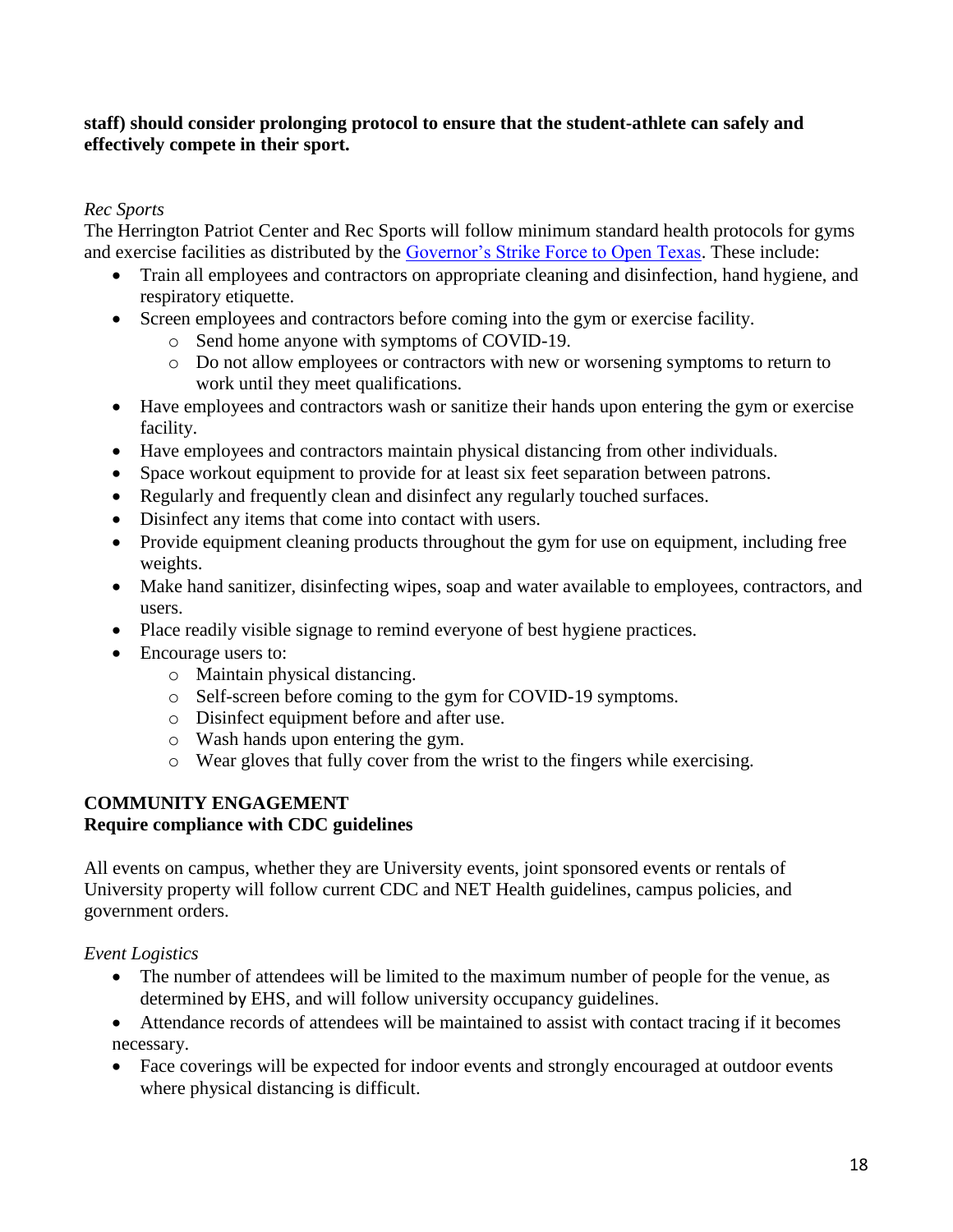#### **staff) should consider prolonging protocol to ensure that the student-athlete can safely and effectively compete in their sport.**

## *Rec Sports*

The Herrington Patriot Center and Rec Sports will follow minimum standard health protocols for gyms and exercise facilities as distributed by the [Governor's Strike Force to Open Texas.](https://open.texas.gov/) These include:

- Train all employees and contractors on appropriate cleaning and disinfection, hand hygiene, and respiratory etiquette.
- Screen employees and contractors before coming into the gym or exercise facility.
	- o Send home anyone with symptoms of COVID-19.
	- o Do not allow employees or contractors with new or worsening symptoms to return to work until they meet qualifications.
- Have employees and contractors wash or sanitize their hands upon entering the gym or exercise facility.
- Have employees and contractors maintain physical distancing from other individuals.
- Space workout equipment to provide for at least six feet separation between patrons.
- Regularly and frequently clean and disinfect any regularly touched surfaces.
- Disinfect any items that come into contact with users.
- Provide equipment cleaning products throughout the gym for use on equipment, including free weights.
- Make hand sanitizer, disinfecting wipes, soap and water available to employees, contractors, and users.
- Place readily visible signage to remind everyone of best hygiene practices.
- Encourage users to:
	- o Maintain physical distancing.
	- o Self-screen before coming to the gym for COVID-19 symptoms.
	- o Disinfect equipment before and after use.
	- o Wash hands upon entering the gym.
	- o Wear gloves that fully cover from the wrist to the fingers while exercising.

#### **COMMUNITY ENGAGEMENT Require compliance with CDC guidelines**

All events on campus, whether they are University events, joint sponsored events or rentals of University property will follow current CDC and NET Health guidelines, campus policies, and government orders.

*Event Logistics*

- The number of attendees will be limited to the maximum number of people for the venue, as determined by EHS, and will follow university occupancy guidelines.
- Attendance records of attendees will be maintained to assist with contact tracing if it becomes necessary.
- Face coverings will be expected for indoor events and strongly encouraged at outdoor events where physical distancing is difficult.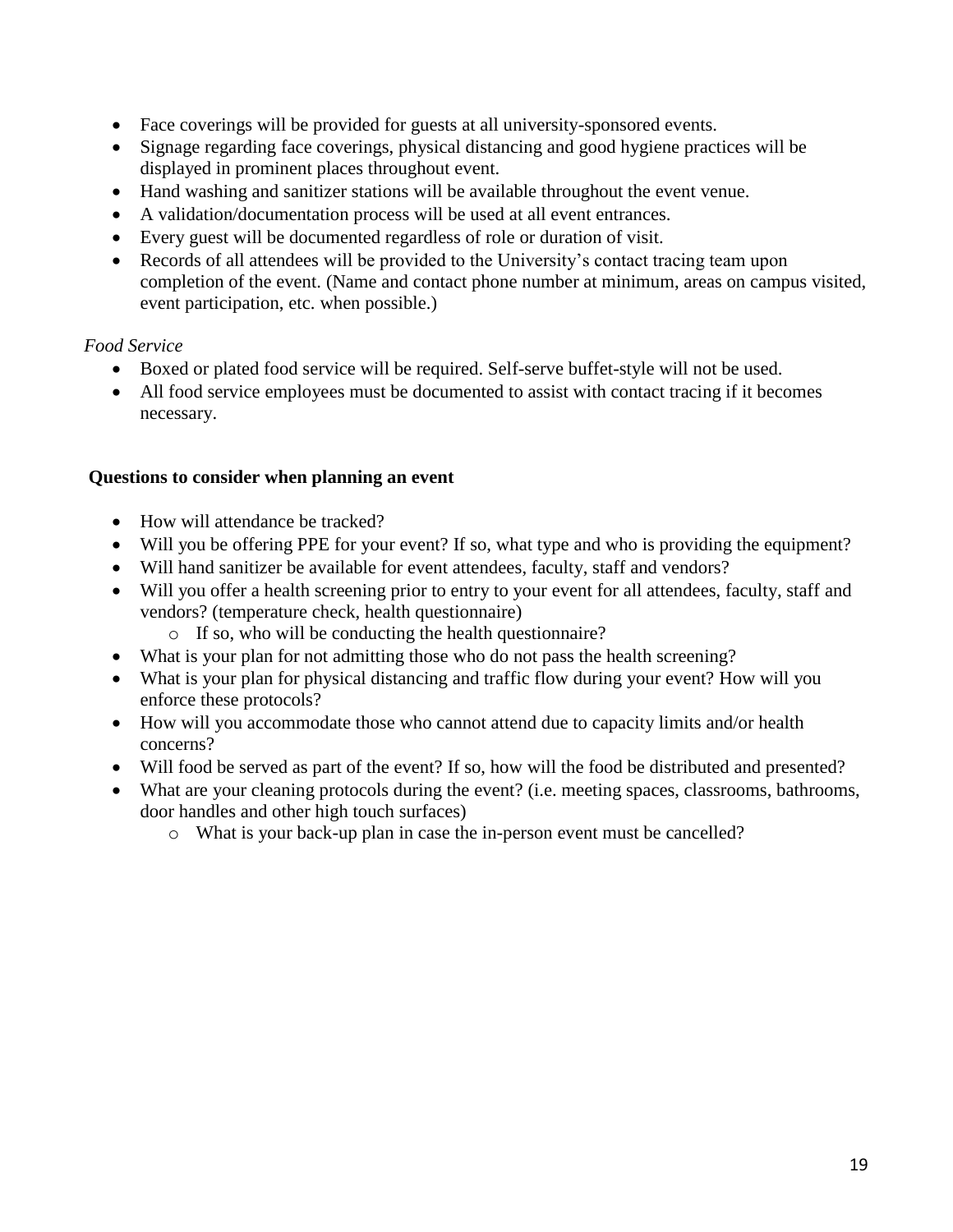- Face coverings will be provided for guests at all university-sponsored events.
- Signage regarding face coverings, physical distancing and good hygiene practices will be displayed in prominent places throughout event.
- Hand washing and sanitizer stations will be available throughout the event venue.
- A validation/documentation process will be used at all event entrances.
- Every guest will be documented regardless of role or duration of visit.
- Records of all attendees will be provided to the University's contact tracing team upon completion of the event. (Name and contact phone number at minimum, areas on campus visited, event participation, etc. when possible.)

## *Food Service*

- Boxed or plated food service will be required. Self-serve buffet-style will not be used.
- All food service employees must be documented to assist with contact tracing if it becomes necessary.

#### **Questions to consider when planning an event**

- How will attendance be tracked?
- Will you be offering PPE for your event? If so, what type and who is providing the equipment?
- Will hand sanitizer be available for event attendees, faculty, staff and vendors?
- Will you offer a health screening prior to entry to your event for all attendees, faculty, staff and vendors? (temperature check, health questionnaire)
	- o If so, who will be conducting the health questionnaire?
- What is your plan for not admitting those who do not pass the health screening?
- What is your plan for physical distancing and traffic flow during your event? How will you enforce these protocols?
- How will you accommodate those who cannot attend due to capacity limits and/or health concerns?
- Will food be served as part of the event? If so, how will the food be distributed and presented?
- What are your cleaning protocols during the event? (i.e. meeting spaces, classrooms, bathrooms, door handles and other high touch surfaces)
	- o What is your back-up plan in case the in-person event must be cancelled?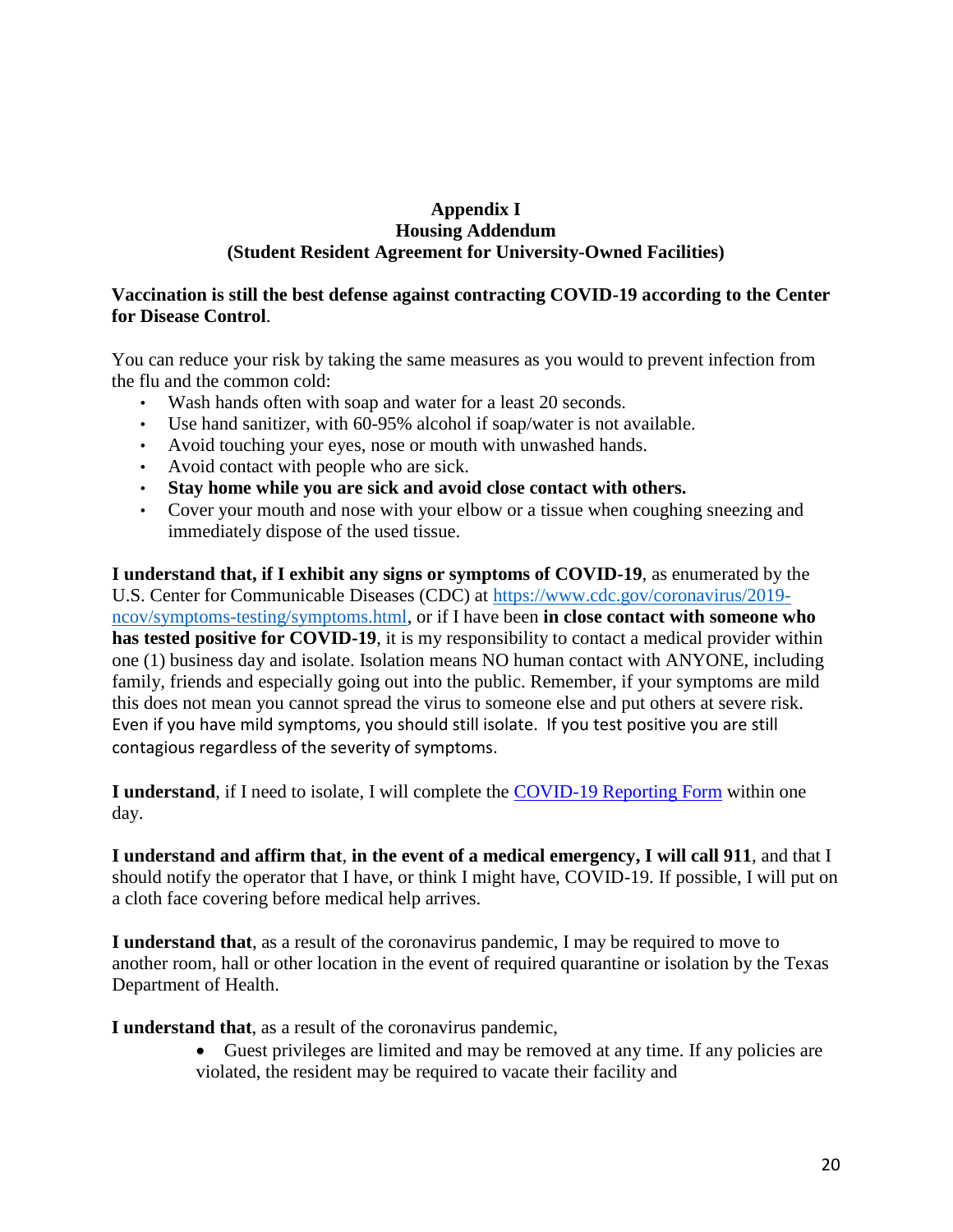#### **Appendix I Housing Addendum (Student Resident Agreement for University-Owned Facilities)**

#### **Vaccination is still the best defense against contracting COVID-19 according to the Center for Disease Control**.

You can reduce your risk by taking the same measures as you would to prevent infection from the flu and the common cold:

- Wash hands often with soap and water for a least 20 seconds.
- Use hand sanitizer, with 60-95% alcohol if soap/water is not available.
- Avoid touching your eyes, nose or mouth with unwashed hands.
- Avoid contact with people who are sick.
- **Stay home while you are sick and avoid close contact with others.**
- Cover your mouth and nose with your elbow or a tissue when coughing sneezing and immediately dispose of the used tissue.

**I understand that, if I exhibit any signs or symptoms of COVID-19**, as enumerated by the U.S. Center for Communicable Diseases (CDC) at [https://www.cdc.gov/coronavirus/2019](https://nam03.safelinks.protection.outlook.com/?url=https%3A%2F%2Fwww.cdc.gov%2Fcoronavirus%2F2019-ncov%2Fsymptoms-testing%2Fsymptoms.html&data=02%7C01%7Cfjohnso%40uark.edu%7C2558ae7bc1d94709719008d7eaec8332%7C79c742c4e61c4fa5be89a3cb566a80d1%7C0%7C0%7C637236173841269510&sdata=RaVJa2PYYSlzP52fKMXFyOx0%2F%2B7wVvV1P0GZ0a46CBI%3D&reserved=0) [ncov/symptoms-testing/symptoms.html,](https://nam03.safelinks.protection.outlook.com/?url=https%3A%2F%2Fwww.cdc.gov%2Fcoronavirus%2F2019-ncov%2Fsymptoms-testing%2Fsymptoms.html&data=02%7C01%7Cfjohnso%40uark.edu%7C2558ae7bc1d94709719008d7eaec8332%7C79c742c4e61c4fa5be89a3cb566a80d1%7C0%7C0%7C637236173841269510&sdata=RaVJa2PYYSlzP52fKMXFyOx0%2F%2B7wVvV1P0GZ0a46CBI%3D&reserved=0) or if I have been **in close contact with someone who has tested positive for COVID-19**, it is my responsibility to contact a medical provider within one (1) business day and isolate. Isolation means NO human contact with ANYONE, including family, friends and especially going out into the public. Remember, if your symptoms are mild this does not mean you cannot spread the virus to someone else and put others at severe risk. Even if you have mild symptoms, you should still isolate. If you test positive you are still contagious regardless of the severity of symptoms.

**I understand**, if I need to isolate, I will complete the [COVID-19 Reporting Form](https://cm.maxient.com/reportingform.php?UnivofTexasTyler&layout_id=32) within one day.

**I understand and affirm that**, **in the event of a medical emergency, I will call 911**, and that I should notify the operator that I have, or think I might have, COVID-19. If possible, I will put on a cloth face covering before medical help arrives.

**I understand that**, as a result of the coronavirus pandemic, I may be required to move to another room, hall or other location in the event of required quarantine or isolation by the Texas Department of Health.

**I understand that**, as a result of the coronavirus pandemic,

• Guest privileges are limited and may be removed at any time. If any policies are violated, the resident may be required to vacate their facility and